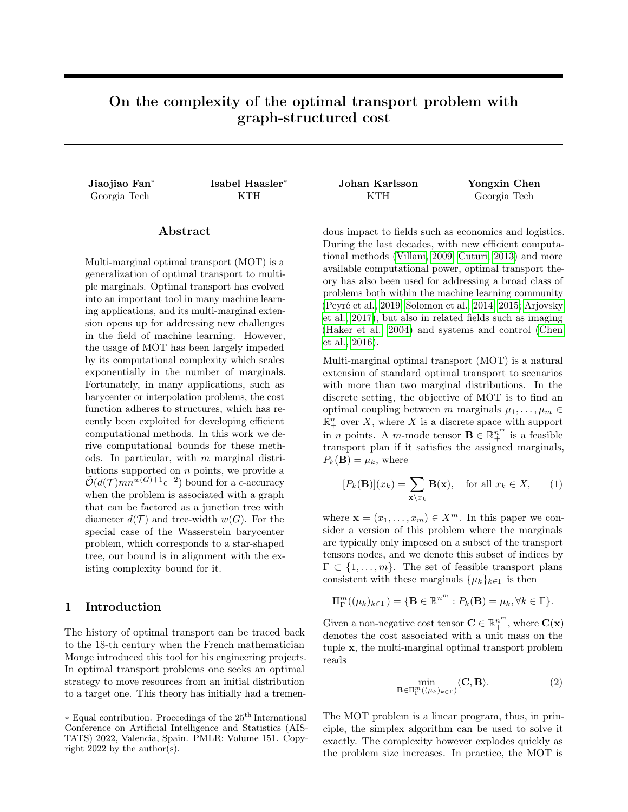# On the complexity of the optimal transport problem with graph-structured cost

Jiaojiao Fan<sup>∗</sup>

# Abstract

Multi-marginal optimal transport (MOT) is a generalization of optimal transport to multiple marginals. Optimal transport has evolved into an important tool in many machine learning applications, and its multi-marginal extension opens up for addressing new challenges in the field of machine learning. However, the usage of MOT has been largely impeded by its computational complexity which scales exponentially in the number of marginals. Fortunately, in many applications, such as barycenter or interpolation problems, the cost function adheres to structures, which has recently been exploited for developing efficient computational methods. In this work we derive computational bounds for these methods. In particular, with  $m$  marginal distributions supported on  $n$  points, we provide a  $\tilde{\mathcal{O}}(d(\mathcal{T})mn^{w(G)+1}\epsilon^{-2})$  bound for a  $\epsilon$ -accuracy when the problem is associated with a graph that can be factored as a junction tree with diameter  $d(\mathcal{T})$  and tree-width  $w(G)$ . For the special case of the Wasserstein barycenter problem, which corresponds to a star-shaped tree, our bound is in alignment with the existing complexity bound for it.

## 1 Introduction

The history of optimal transport can be traced back to the 18-th century when the French mathematician Monge introduced this tool for his engineering projects. In optimal transport problems one seeks an optimal strategy to move resources from an initial distribution to a target one. This theory has initially had a tremen-

Georgia Tech KTH KTH Georgia Tech

Isabel Haasler<sup>∗</sup> Johan Karlsson Yongxin Chen

dous impact to fields such as economics and logistics. During the last decades, with new efficient computational methods [\(Villani, 2009;](#page-10-0) [Cuturi, 2013\)](#page-9-0) and more available computational power, optimal transport theory has also been used for addressing a broad class of problems both within the machine learning community [\(Peyré et al., 2019;](#page-9-1) [Solomon et al., 2014,](#page-10-1) [2015;](#page-10-2) [Arjovsky](#page-9-2) [et al., 2017\)](#page-9-2), but also in related fields such as imaging [\(Haker et al., 2004\)](#page-9-3) and systems and control [\(Chen](#page-9-4) [et al., 2016\)](#page-9-4).

Multi-marginal optimal transport (MOT) is a natural extension of standard optimal transport to scenarios with more than two marginal distributions. In the discrete setting, the objective of MOT is to find an optimal coupling between m marginals  $\mu_1, \ldots, \mu_m \in$  $\mathbb{R}^n_+$  over X, where X is a discrete space with support in *n* points. A *m*-mode tensor  $\mathbf{B} \in \mathbb{R}^{n^m}_{+}$  is a feasible transport plan if it satisfies the assigned marginals,  $P_k(\mathbf{B}) = \mu_k$ , where

<span id="page-0-1"></span>
$$
[P_k(\mathbf{B})](x_k) = \sum_{\mathbf{x}\backslash x_k} \mathbf{B}(\mathbf{x}), \quad \text{for all } x_k \in X,
$$
 (1)

where  $\mathbf{x} = (x_1, \dots, x_m) \in X^m$ . In this paper we consider a version of this problem where the marginals are typically only imposed on a subset of the transport tensors nodes, and we denote this subset of indices by  $\Gamma \subset \{1, \ldots, m\}$ . The set of feasible transport plans consistent with these marginals  $\{\mu_k\}_{k\in\Gamma}$  is then

$$
\Pi_{\Gamma}^{m}((\mu_{k})_{k\in\Gamma})=\{\mathbf{B}\in\mathbb{R}^{n^{m}}:P_{k}(\mathbf{B})=\mu_{k},\forall k\in\Gamma\}.
$$

Given a non-negative cost tensor  $\mathbf{C} \in \mathbb{R}^{n^m}_{+},$  where  $\mathbf{C}(\mathbf{x})$ denotes the cost associated with a unit mass on the tuple x, the multi-marginal optimal transport problem reads

<span id="page-0-0"></span>
$$
\min_{\mathbf{B}\in\Pi_{\Gamma}^{m}((\mu_{k})_{k\in\Gamma})}\langle\mathbf{C},\mathbf{B}\rangle.
$$
 (2)

The MOT problem is a linear program, thus, in principle, the simplex algorithm can be used to solve it exactly. The complexity however explodes quickly as the problem size increases. In practice, the MOT is

 $\ast$  Equal contribution. Proceedings of the  $25^{\rm th}$  International Conference on Artificial Intelligence and Statistics (AIS-TATS) 2022, Valencia, Spain. PMLR: Volume 151. Copyright 2022 by the author(s).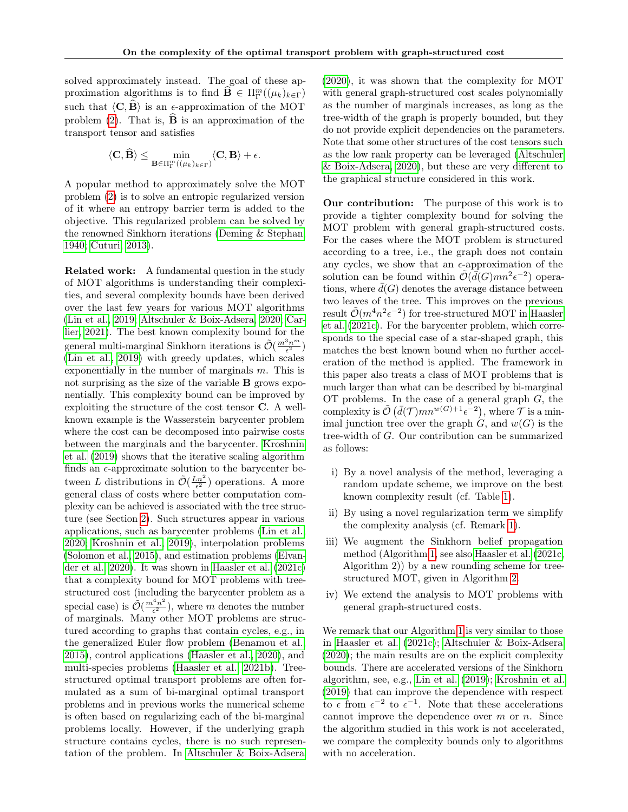solved approximately instead. The goal of these approximation algorithms is to find  $\widehat{\mathbf{B}} \in \Pi_{\Gamma}^{m}((\mu_{k})_{k\in\Gamma})$ such that  $\langle C, \widehat{B} \rangle$  is an  $\epsilon$ -approximation of the MOT problem [\(2\)](#page-0-0). That is,  $\hat{\mathbf{B}}$  is an approximation of the transport tensor and satisfies

$$
\langle \mathbf{C}, \widehat{\mathbf{B}} \rangle \le \min_{\mathbf{B} \in \Pi_{\Gamma}^{m}((\mu_{k})_{k \in \Gamma})} \langle \mathbf{C}, \mathbf{B} \rangle + \epsilon.
$$

A popular method to approximately solve the MOT problem [\(2\)](#page-0-0) is to solve an entropic regularized version of it where an entropy barrier term is added to the objective. This regularized problem can be solved by the renowned Sinkhorn iterations [\(Deming & Stephan,](#page-9-5) [1940;](#page-9-5) [Cuturi, 2013\)](#page-9-0).

Related work: A fundamental question in the study of MOT algorithms is understanding their complexities, and several complexity bounds have been derived over the last few years for various MOT algorithms [\(Lin et al., 2019;](#page-9-6) [Altschuler & Boix-Adsera, 2020;](#page-9-7) [Car](#page-9-8)[lier, 2021\)](#page-9-8). The best known complexity bound for the general multi-marginal Sinkhorn iterations is  $\tilde{\mathcal{O}}(\frac{m^3n^m}{\epsilon^2})$ [\(Lin et al., 2019\)](#page-9-6) with greedy updates, which scales exponentially in the number of marginals  $m$ . This is not surprising as the size of the variable B grows exponentially. This complexity bound can be improved by exploiting the structure of the cost tensor C. A wellknown example is the Wasserstein barycenter problem where the cost can be decomposed into pairwise costs between the marginals and the barycenter. [Kroshnin](#page-9-9) [et al.](#page-9-9) [\(2019\)](#page-9-9) shows that the iterative scaling algorithm finds an  $\epsilon$ -approximate solution to the barycenter between L distributions in  $\tilde{\mathcal{O}}(\frac{Ln^2}{\epsilon^2})$  operations. A more general class of costs where better computation complexity can be achieved is associated with the tree structure (see Section [2\)](#page-2-0). Such structures appear in various applications, such as barycenter problems [\(Lin et al.,](#page-9-10) [2020;](#page-9-10) [Kroshnin et al., 2019\)](#page-9-9), interpolation problems [\(Solomon et al., 2015\)](#page-10-2), and estimation problems [\(Elvan](#page-9-11)[der et al., 2020\)](#page-9-11). It was shown in [Haasler et al.](#page-9-12) [\(2021c\)](#page-9-12) that a complexity bound for MOT problems with treestructured cost (including the barycenter problem as a special case) is  $\tilde{\mathcal{O}}\left(\frac{m^4n^2}{\epsilon^2}\right)$  $(\frac{n^2 n^2}{\epsilon^2})$ , where m denotes the number of marginals. Many other MOT problems are structured according to graphs that contain cycles, e.g., in the generalized Euler flow problem [\(Benamou et al.,](#page-9-13) [2015\)](#page-9-13), control applications [\(Haasler et al., 2020\)](#page-9-14), and multi-species problems [\(Haasler et al., 2021b\)](#page-9-15). Treestructured optimal transport problems are often formulated as a sum of bi-marginal optimal transport problems and in previous works the numerical scheme is often based on regularizing each of the bi-marginal problems locally. However, if the underlying graph structure contains cycles, there is no such representation of the problem. In [Altschuler & Boix-Adsera](#page-9-7)

[\(2020\)](#page-9-7), it was shown that the complexity for MOT with general graph-structured cost scales polynomially as the number of marginals increases, as long as the tree-width of the graph is properly bounded, but they do not provide explicit dependencies on the parameters. Note that some other structures of the cost tensors such as the low rank property can be leveraged [\(Altschuler](#page-9-7) [& Boix-Adsera, 2020\)](#page-9-7), but these are very different to the graphical structure considered in this work.

Our contribution: The purpose of this work is to provide a tighter complexity bound for solving the MOT problem with general graph-structured costs. For the cases where the MOT problem is structured according to a tree, i.e., the graph does not contain any cycles, we show that an  $\epsilon$ -approximation of the solution can be found within  $\tilde{\mathcal{O}}(\bar{d}(G)mn^2\epsilon^{-2})$  operations, where  $d(G)$  denotes the average distance between two leaves of the tree. This improves on the previous result  $\tilde{\mathcal{O}}(m^4n^2\epsilon^{-2})$  for tree-structured MOT in [Haasler](#page-9-12) [et al.](#page-9-12) [\(2021c\)](#page-9-12). For the barycenter problem, which corresponds to the special case of a star-shaped graph, this matches the best known bound when no further acceleration of the method is applied. The framework in this paper also treats a class of MOT problems that is much larger than what can be described by bi-marginal OT problems. In the case of a general graph  $G$ , the complexity is  $\tilde{\mathcal{O}}(\bar{d}(\mathcal{T})mn^{w(G)+1}\epsilon^{-2}),$  where  $\mathcal{T}$  is a minimal junction tree over the graph  $G$ , and  $w(G)$  is the tree-width of G. Our contribution can be summarized as follows:

- i) By a novel analysis of the method, leveraging a random update scheme, we improve on the best known complexity result (cf. Table [1\)](#page-2-1).
- ii) By using a novel regularization term we simplify the complexity analysis (cf. Remark [1\)](#page-3-0).
- iii) We augment the Sinkhorn belief propagation method (Algorithm [1,](#page-4-0) see also [Haasler et al.](#page-9-12) [\(2021c,](#page-9-12) Algorithm 2)) by a new rounding scheme for treestructured MOT, given in Algorithm [2.](#page-4-1)
- iv) We extend the analysis to MOT problems with general graph-structured costs.

We remark that our Algorithm [1](#page-4-0) is very similar to those in [Haasler et al.](#page-9-12) [\(2021c\)](#page-9-12); [Altschuler & Boix-Adsera](#page-9-7) [\(2020\)](#page-9-7); the main results are on the explicit complexity bounds. There are accelerated versions of the Sinkhorn algorithm, see, e.g., [Lin et al.](#page-9-6) [\(2019\)](#page-9-6); [Kroshnin et al.](#page-9-9) [\(2019\)](#page-9-9) that can improve the dependence with respect to  $\epsilon$  from  $\epsilon^{-2}$  to  $\epsilon^{-1}$ . Note that these accelerations cannot improve the dependence over  $m$  or  $n$ . Since the algorithm studied in this work is not accelerated, we compare the complexity bounds only to algorithms with no acceleration.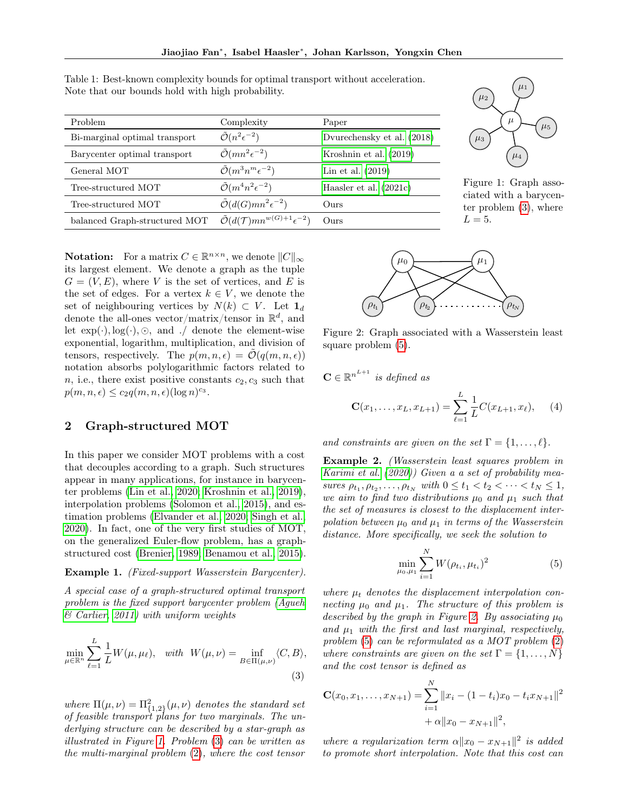$\mathbf C$ 

| Problem                       | Complexity                                                    | Paper                      |
|-------------------------------|---------------------------------------------------------------|----------------------------|
| Bi-marginal optimal transport | $\tilde{\mathcal{O}}(n^2\epsilon^{-2})$                       | Dyurechensky et al. (2018) |
| Barycenter optimal transport  | $\tilde{\mathcal{O}}(mn^2\epsilon^{-2})$                      | Kroshnin et al. $(2019)$   |
| General MOT                   | $\tilde{\mathcal{O}}(m^3 n^m \epsilon^{-2})$                  | Lin et al. $(2019)$        |
| Tree-structured MOT           | $\tilde{\mathcal{O}}(m^4n^2\epsilon^{-2})$                    | Haasler et al. $(2021c)$   |
| Tree-structured MOT           | $\tilde{\mathcal{O}}(d(G)mn^2\epsilon^{-2})$                  | Ours                       |
| balanced Graph-structured MOT | $\tilde{\mathcal{O}}(d(\mathcal{T})mn^{w(G)+1}\epsilon^{-2})$ | Ours                       |

<span id="page-2-1"></span>Table 1: Best-known complexity bounds for optimal transport without acceleration. Note that our bounds hold with high probability.



Figure 1: Graph associated with a barycenter problem [\(3\)](#page-2-2), where  $L = 5$ .

**Notation:** For a matrix  $C \in \mathbb{R}^{n \times n}$ , we denote  $||C||_{\infty}$ its largest element. We denote a graph as the tuple  $G = (V, E)$ , where V is the set of vertices, and E is the set of edges. For a vertex  $k \in V$ , we denote the set of neighbouring vertices by  $N(k) \subset V$ . Let  $\mathbf{1}_d$ denote the all-ones vector/matrix/tensor in  $\mathbb{R}^d$ , and let  $exp(\cdot), log(\cdot), \odot$ , and ./ denote the element-wise exponential, logarithm, multiplication, and division of tensors, respectively. The  $p(m, n, \epsilon) = \tilde{\mathcal{O}}(q(m, n, \epsilon))$ notation absorbs polylogarithmic factors related to n, i.e., there exist positive constants  $c_2, c_3$  such that  $p(m, n, \epsilon) \leq c_2 q(m, n, \epsilon) (\log n)^{c_3}.$ 

## <span id="page-2-0"></span>2 Graph-structured MOT

In this paper we consider MOT problems with a cost that decouples according to a graph. Such structures appear in many applications, for instance in barycenter problems [\(Lin et al., 2020;](#page-9-10) [Kroshnin et al., 2019\)](#page-9-9), interpolation problems [\(Solomon et al., 2015\)](#page-10-2), and estimation problems [\(Elvander et al., 2020;](#page-9-11) [Singh et al.,](#page-9-17) [2020\)](#page-9-17). In fact, one of the very first studies of MOT, on the generalized Euler-flow problem, has a graphstructured cost [\(Brenier, 1989;](#page-9-18) [Benamou et al., 2015\)](#page-9-13).

#### <span id="page-2-5"></span>Example 1. (Fixed-support Wasserstein Barycenter).

A special case of a graph-structured optimal transport problem is the fixed support barycenter problem [\(Agueh](#page-8-0)  $& Carlier, 2011)$  with uniform weights

$$
\min_{\mu \in \mathbb{R}^n} \sum_{\ell=1}^L \frac{1}{L} W(\mu, \mu_\ell), \quad \text{with} \quad W(\mu, \nu) = \inf_{B \in \Pi(\mu, \nu)} \langle C, B \rangle,
$$
\n(3)

where  $\Pi(\mu, \nu) = \Pi_{\{1,2\}}^2(\mu, \nu)$  denotes the standard set of feasible transport plans for two marginals. The underlying structure can be described by a star-graph as illustrated in Figure [1.](#page-2-1) Problem [\(3\)](#page-2-2) can be written as the multi-marginal problem [\(2\)](#page-0-0), where the cost tensor

<span id="page-2-4"></span>

Figure 2: Graph associated with a Wasserstein least square problem [\(5\)](#page-2-3).

$$
\in \mathbb{R}^{n^{L+1}}
$$
 is defined as  

$$
\mathbf{C}(x_1, ..., x_L, x_{L+1}) = \sum_{\ell=1}^{L} \frac{1}{L} C(x_{L+1}, x_{\ell}), \quad (4)
$$

and constraints are given on the set  $\Gamma = \{1, \ldots, \ell\}.$ 

<span id="page-2-6"></span>Example 2. (Wasserstein least squares problem in [Karimi et al.](#page-9-19) [\(2020\)](#page-9-19)) Given a a set of probability measures  $\rho_{t_1}, \rho_{t_2}, \ldots, \rho_{t_N}$  with  $0 \le t_1 < t_2 < \cdots < t_N \le 1$ , we aim to find two distributions  $\mu_0$  and  $\mu_1$  such that the set of measures is closest to the displacement interpolation between  $\mu_0$  and  $\mu_1$  in terms of the Wasserstein distance. More specifically, we seek the solution to

<span id="page-2-7"></span><span id="page-2-3"></span>
$$
\min_{\mu_0, \mu_1} \sum_{i=1}^{N} W(\rho_{t_i}, \mu_{t_i})^2
$$
\n(5)

where  $\mu_t$  denotes the displacement interpolation connecting  $\mu_0$  and  $\mu_1$ . The structure of this problem is described by the graph in Figure [2.](#page-2-4) By associating  $\mu_0$ and  $\mu_1$  with the first and last marginal, respectively, problem [\(5\)](#page-2-3) can be reformulated as a MOT problem [\(2\)](#page-0-0) where constraints are given on the set  $\Gamma = \{1, \ldots, N\}$ and the cost tensor is defined as

<span id="page-2-2"></span>
$$
\mathbf{C}(x_0, x_1, \dots, x_{N+1}) = \sum_{i=1}^{N} ||x_i - (1 - t_i)x_0 - t_i x_{N+1}||^2
$$
  
+  $\alpha ||x_0 - x_{N+1}||^2$ ,

where a regularization term  $\alpha ||x_0 - x_{N+1}||^2$  is added to promote short interpolation. Note that this cost can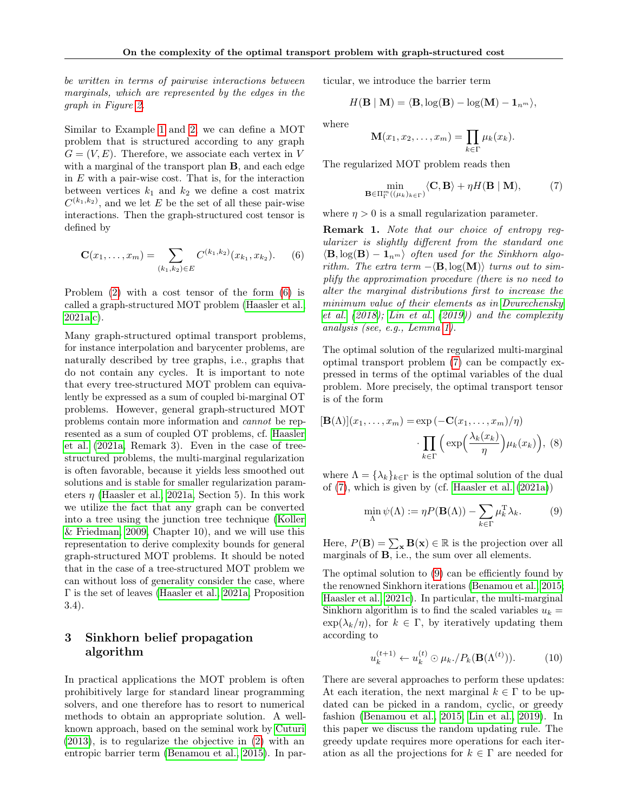be written in terms of pairwise interactions between marginals, which are represented by the edges in the graph in Figure [2.](#page-2-4)

Similar to Example [1](#page-2-5) and [2,](#page-2-6) we can define a MOT problem that is structured according to any graph  $G = (V, E)$ . Therefore, we associate each vertex in V with a marginal of the transport plan **B**, and each edge in E with a pair-wise cost. That is, for the interaction between vertices  $k_1$  and  $k_2$  we define a cost matrix  $C^{(k_1,k_2)}$ , and we let E be the set of all these pair-wise interactions. Then the graph-structured cost tensor is defined by

$$
\mathbf{C}(x_1,\ldots,x_m) = \sum_{(k_1,k_2)\in E} C^{(k_1,k_2)}(x_{k_1},x_{k_2}).\qquad(6)
$$

Problem [\(2\)](#page-0-0) with a cost tensor of the form [\(6\)](#page-3-1) is called a graph-structured MOT problem [\(Haasler et al.,](#page-9-20) [2021a,](#page-9-20)[c\)](#page-9-12).

Many graph-structured optimal transport problems, for instance interpolation and barycenter problems, are naturally described by tree graphs, i.e., graphs that do not contain any cycles. It is important to note that every tree-structured MOT problem can equivalently be expressed as a sum of coupled bi-marginal OT problems. However, general graph-structured MOT problems contain more information and cannot be represented as a sum of coupled OT problems, cf. [Haasler](#page-9-20) [et al.](#page-9-20) [\(2021a,](#page-9-20) Remark 3). Even in the case of treestructured problems, the multi-marginal regularization is often favorable, because it yields less smoothed out solutions and is stable for smaller regularization parameters  $\eta$  [\(Haasler et al., 2021a,](#page-9-20) Section 5). In this work we utilize the fact that any graph can be converted into a tree using the junction tree technique [\(Koller](#page-9-21) [& Friedman, 2009,](#page-9-21) Chapter 10), and we will use this representation to derive complexity bounds for general graph-structured MOT problems. It should be noted that in the case of a tree-structured MOT problem we can without loss of generality consider the case, where Γ is the set of leaves [\(Haasler et al., 2021a,](#page-9-20) Proposition 3.4).

## 3 Sinkhorn belief propagation algorithm

In practical applications the MOT problem is often prohibitively large for standard linear programming solvers, and one therefore has to resort to numerical methods to obtain an appropriate solution. A wellknown approach, based on the seminal work by [Cuturi](#page-9-0) [\(2013\)](#page-9-0), is to regularize the objective in [\(2\)](#page-0-0) with an entropic barrier term [\(Benamou et al., 2015\)](#page-9-13). In particular, we introduce the barrier term

$$
H({\bf B} \mid {\bf M}) = \langle {\bf B}, \log({\bf B}) - \log({\bf M}) - {\bf 1}_{n^m} \rangle,
$$

where

<span id="page-3-2"></span>
$$
\mathbf{M}(x_1, x_2, \dots, x_m) = \prod_{k \in \Gamma} \mu_k(x_k).
$$

The regularized MOT problem reads then

$$
\min_{\mathbf{B}\in\Pi_{\Gamma}^m((\mu_k)_{k\in\Gamma})}\langle\mathbf{C},\mathbf{B}\rangle+\eta H(\mathbf{B}\mid\mathbf{M}),\qquad(7)
$$

where  $\eta > 0$  is a small regularization parameter.

<span id="page-3-1"></span><span id="page-3-0"></span>Remark 1. Note that our choice of entropy regularizer is slightly different from the standard one  $\langle \mathbf{B}, \log(\mathbf{B}) - \mathbf{1}_{n^m} \rangle$  often used for the Sinkhorn algorithm. The extra term  $-\langle \mathbf{B}, \log(\mathbf{M}) \rangle$  turns out to simplify the approximation procedure (there is no need to alter the marginal distributions first to increase the minimum value of their elements as in [Dvurechensky](#page-9-16) [et al.](#page-9-16) [\(2018\)](#page-9-16); [Lin et al.](#page-9-6) [\(2019\)](#page-9-6)) and the complexity analysis (see, e.g., Lemma [1\)](#page-5-0).

The optimal solution of the regularized multi-marginal optimal transport problem [\(7\)](#page-3-2) can be compactly expressed in terms of the optimal variables of the dual problem. More precisely, the optimal transport tensor is of the form

$$
[\mathbf{B}(\Lambda)](x_1,\ldots,x_m) = \exp(-\mathbf{C}(x_1,\ldots,x_m)/\eta)
$$

$$
\cdot \prod_{k \in \Gamma} \left( \exp\left(\frac{\lambda_k(x_k)}{\eta}\right) \mu_k(x_k) \right), \quad (8)
$$

where  $\Lambda = {\lambda_k}_{k \in \Gamma}$  is the optimal solution of the dual of [\(7\)](#page-3-2), which is given by (cf. [Haasler et al.](#page-9-20) [\(2021a\)](#page-9-20))

<span id="page-3-5"></span><span id="page-3-3"></span>
$$
\min_{\Lambda} \psi(\Lambda) := \eta P(\mathbf{B}(\Lambda)) - \sum_{k \in \Gamma} \mu_k^{\mathrm{T}} \lambda_k. \tag{9}
$$

Here,  $P(\mathbf{B}) = \sum_{\mathbf{x}} \mathbf{B}(\mathbf{x}) \in \mathbb{R}$  is the projection over all marginals of B, i.e., the sum over all elements.

The optimal solution to [\(9\)](#page-3-3) can be efficiently found by the renowned Sinkhorn iterations [\(Benamou et al., 2015;](#page-9-13) [Haasler et al., 2021c\)](#page-9-12). In particular, the multi-marginal Sinkhorn algorithm is to find the scaled variables  $u_k =$  $\exp(\lambda_k/\eta)$ , for  $k \in \Gamma$ , by iteratively updating them according to

<span id="page-3-4"></span>
$$
u_k^{(t+1)} \leftarrow u_k^{(t)} \odot \mu_k / P_k(\mathbf{B}(\Lambda^{(t)})). \tag{10}
$$

There are several approaches to perform these updates: At each iteration, the next marginal  $k \in \Gamma$  to be updated can be picked in a random, cyclic, or greedy fashion [\(Benamou et al., 2015;](#page-9-13) [Lin et al., 2019\)](#page-9-6). In this paper we discuss the random updating rule. The greedy update requires more operations for each iteration as all the projections for  $k \in \Gamma$  are needed for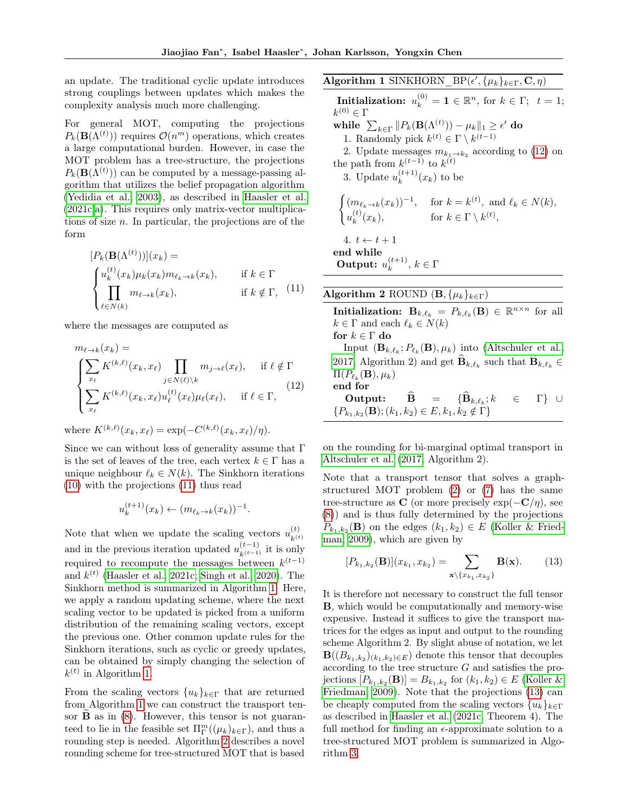an update. The traditional cyclic update introduces strong couplings between updates which makes the complexity analysis much more challenging.

For general MOT, computing the projections  $P_k(\mathbf{B}(\Lambda^{(t)}))$  requires  $\mathcal{O}(n^m)$  operations, which creates a large computational burden. However, in case the MOT problem has a tree-structure, the projections  $P_k(\mathbf{B}(\Lambda^{(t)}))$  can be computed by a message-passing algorithm that utilizes the belief propagation algorithm [\(Yedidia et al., 2003\)](#page-10-3), as described in [Haasler et al.](#page-9-12) [\(2021c,](#page-9-12)[a\)](#page-9-20). This requires only matrix-vector multiplications of size  $n$ . In particular, the projections are of the form

$$
[P_k(\mathbf{B}(\Lambda^{(t)}))](x_k) =
$$
  
\n
$$
\begin{cases}\nu_k^{(t)}(x_k)\mu_k(x_k)m_{\ell_k \to k}(x_k), & \text{if } k \in \Gamma \\
\prod_{\ell \in N(k)} m_{\ell \to k}(x_k), & \text{if } k \notin \Gamma,\end{cases}
$$
\n(11)

where the messages are computed as

$$
m_{\ell \to k}(x_k) =
$$
\n
$$
\begin{cases}\n\sum_{x_{\ell}} K^{(k,\ell)}(x_k, x_{\ell}) \prod_{j \in N(\ell) \setminus k} m_{j \to \ell}(x_{\ell}), & \text{if } \ell \notin \Gamma \\
\sum_{x_{\ell}} K^{(k,\ell)}(x_k, x_{\ell}) u_{\ell}^{(t)}(x_{\ell}) \mu_{\ell}(x_{\ell}), & \text{if } \ell \in \Gamma,\n\end{cases}
$$
\n
$$
(12)
$$

where  $K^{(k,\ell)}(x_k, x_{\ell}) = \exp(-C^{(k,\ell)}(x_k, x_{\ell})/\eta).$ 

Since we can without loss of generality assume that Γ is the set of leaves of the tree, each vertex  $k \in \Gamma$  has a unique neighbour  $\ell_k \in N(k)$ . The Sinkhorn iterations [\(10\)](#page-3-4) with the projections [\(11\)](#page-4-2) thus read

$$
u_k^{(t+1)}(x_k) \leftarrow (m_{\ell_k \to k}(x_k))^{-1}
$$

.

Note that when we update the scaling vectors  $u_{i(t)}^{(t)}$  $k^{(t)}$ and in the previous iteration updated  $u_{k^{(t-1)}}^{(t-1)}$  it is only required to recompute the messages between  $k^{(t-1)}$ and  $k^{(t)}$  [\(Haasler et al., 2021c;](#page-9-12) [Singh et al., 2020\)](#page-9-17). The Sinkhorn method is summarized in Algorithm [1.](#page-4-0) Here, we apply a random updating scheme, where the next scaling vector to be updated is picked from a uniform distribution of the remaining scaling vectors, except the previous one. Other common update rules for the Sinkhorn iterations, such as cyclic or greedy updates, can be obtained by simply changing the selection of  $k^{(t)}$  in Algorithm [1.](#page-4-0)

From the scaling vectors  ${u_k}_{k \in \Gamma}$  that are returned from Algorithm [1](#page-4-0) we can construct the transport tensor  $\bf{B}$  as in [\(8\)](#page-3-5). However, this tensor is not guaranteed to lie in the feasible set  $\Pi_{\Gamma}^{m}((\mu_{k})_{k\in\Gamma}),$  and thus a rounding step is needed. Algorithm [2](#page-4-1) describes a novel rounding scheme for tree-structured MOT that is based <span id="page-4-0"></span>Algorithm 1 SINKHORN\_BP( $\epsilon', {\mu_k}_{k \in \Gamma}, {\bf C}, \eta$ ) **Initialization:**  $u_k^{(0)} = \mathbf{1} \in \mathbb{R}^n$ , for  $k \in \Gamma$ ;  $t = 1$ ;  $k^{(0)} \in \Gamma$ while  $\sum_{k\in\Gamma}\|P_k(\mathbf{B}(\Lambda^{(t)}))-\mu_k\|_1\geq \epsilon'$  do 1. Randomly pick  $k^{(t)} \in \Gamma \setminus k^{(t-1)}$ 2. Update messages  $m_{k_1 \to k_2}$  according to [\(12\)](#page-4-3) on the path from  $k^{(t-1)}$  to  $k^{(t)}$ 3. Update  $u_k^{(t+1)}$  $\binom{(t+1)}{k}(x_k)$  to be  $\int (m_{\ell_k \to k}(x_k))^{-1}$ , for  $k = k^{(t)}$ , and  $\ell_k \in N(k)$ ,  $u_k^{(t)}$  $(k)$ <sub>k</sub> $(k)$ , for  $k \in \Gamma \setminus k^{(t)}$ , 4.  $t \leftarrow t + 1$ end while Output:  $u_k^{(t+1)}$  $\binom{t+1}{k}, k \in \Gamma$ 

<span id="page-4-2"></span><span id="page-4-1"></span>Algorithm 2 ROUND  $(\mathbf{B}, {\mu_k}_{k \in \Gamma})$ Initialization:  $\mathbf{B}_{k,\ell_k} = P_{k,\ell_k}(\mathbf{B}) \in \mathbb{R}^{n \times n}$  for all  $k \in \Gamma$  and each  $\ell_k \in N(k)$ for  $k \in \Gamma$  do Input  $(\mathbf{B}_{k,\ell_k}; P_{\ell_k}(\mathbf{B}), \mu_k)$  into [\(Altschuler et al.,](#page-9-22) [2017,](#page-9-22) Algorithm 2) and get  $\mathbf{B}_{k,\ell_k}$  such that  $\mathbf{B}_{k,\ell_k} \in$  $\Pi(P_{\ell_k}(\mathbf{B}), \mu_k)$ end for Output:  $\widehat{\mathbf{B}} = {\widehat{\mathbf{B}}}_{k,\ell_k}; k$  $\in$  Γ} ∪  $\{P_{k_1,k_2}(\mathbf{B}); (k_1,k_2) \in E, k_1, k_2 \notin \Gamma\}$ 

<span id="page-4-3"></span>on the rounding for bi-marginal optimal transport in [Altschuler et al.](#page-9-22) [\(2017,](#page-9-22) Algorithm 2).

Note that a transport tensor that solves a graphstructured MOT problem [\(2\)](#page-0-0) or [\(7\)](#page-3-2) has the same tree-structure as C (or more precisely  $\exp(-\mathbf{C}/\eta)$ , see [\(8\)](#page-3-5)) and is thus fully determined by the projections  $P_{k_1,k_2}(\mathbf{B})$  on the edges  $(k_1,k_2) \in E$  [\(Koller & Fried](#page-9-21)[man, 2009\)](#page-9-21), which are given by

<span id="page-4-4"></span>
$$
[P_{k_1,k_2}(\mathbf{B})](x_{k_1},x_{k_2}) = \sum_{\mathbf{x}\backslash\{x_{k_1},x_{k_2}\}} \mathbf{B}(\mathbf{x}).\tag{13}
$$

It is therefore not necessary to construct the full tensor B, which would be computationally and memory-wise expensive. Instead it suffices to give the transport matrices for the edges as input and output to the rounding scheme Algorithm 2. By slight abuse of notation, we let  $\mathbf{B}((B_{k_1,k_2})_{(k_1,k_2)\in E})$  denote this tensor that decouples according to the tree structure G and satisfies the projections  $[P_{k_1,k_2}(\mathbf{B})] = B_{k_1,k_2}$  for  $(k_1,k_2) \in E$  [\(Koller &](#page-9-21) [Friedman, 2009\)](#page-9-21). Note that the projections [\(13\)](#page-4-4) can be cheaply computed from the scaling vectors  $\{u_k\}_{k\in\Gamma}$ as described in [Haasler et al.](#page-9-12) [\(2021c,](#page-9-12) Theorem 4). The full method for finding an  $\epsilon$ -approximate solution to a tree-structured MOT problem is summarized in Algorithm [3.](#page-5-1)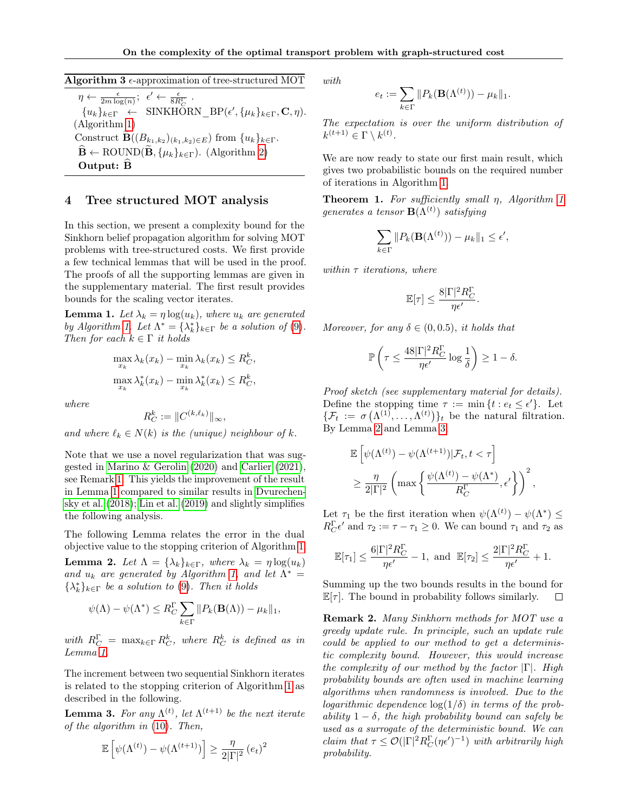## <span id="page-5-1"></span>Algorithm 3  $\epsilon$ -approximation of tree-structured MOT

 $\eta \leftarrow \frac{\epsilon}{2m \log(n)}$ ;  $\epsilon' \leftarrow \frac{\epsilon}{8R_C^{\Gamma}}$ .  ${u_k}_{k \in \Gamma} \leftarrow \text{SINKHÖRN\_BP}(\epsilon', \{\mu_k\}_{k \in \Gamma}, \mathbf{C}, \eta).$ (Algorithm [1\)](#page-4-0) Construct **B** $((B_{k_1,k_2})_{(k_1,k_2)\in E})$  from  $\{u_k\}_{k\in\Gamma}$ .  $\widehat{\mathbf{B}} \leftarrow \text{ROUND}(\widetilde{\mathbf{B}}, \{\mu_k\}_{k \in \Gamma})$ . (Algorithm [2\)](#page-4-1) Output: <sup>B</sup><sup>b</sup>

## 4 Tree structured MOT analysis

In this section, we present a complexity bound for the Sinkhorn belief propagation algorithm for solving MOT problems with tree-structured costs. We first provide a few technical lemmas that will be used in the proof. The proofs of all the supporting lemmas are given in the supplementary material. The first result provides bounds for the scaling vector iterates.

<span id="page-5-0"></span>**Lemma 1.** Let  $\lambda_k = \eta \log(u_k)$ , where  $u_k$  are generated by Algorithm [1.](#page-4-0) Let  $\Lambda^* = {\lambda_k^*}_{k \in \Gamma}$  be a solution of [\(9\)](#page-3-3). Then for each  $k \in \Gamma$  it holds

$$
\max_{x_k} \lambda_k(x_k) - \min_{x_k} \lambda_k(x_k) \le R_C^k,
$$
  

$$
\max_{x_k} \lambda_k^*(x_k) - \min_{x_k} \lambda_k^*(x_k) \le R_C^k,
$$

where

$$
R_C^k := \|C^{(k,\ell_k)}\|_{\infty},
$$

and where  $\ell_k \in N(k)$  is the (unique) neighbour of k.

Note that we use a novel regularization that was suggested in [Marino & Gerolin](#page-9-23) [\(2020\)](#page-9-23) and [Carlier](#page-9-8) [\(2021\)](#page-9-8), see Remark [1.](#page-3-0) This yields the improvement of the result in Lemma [1](#page-5-0) compared to similar results in [Dvurechen](#page-9-16)[sky et al.](#page-9-16) [\(2018\)](#page-9-16); [Lin et al.](#page-9-6) [\(2019\)](#page-9-6) and slightly simplifies the following analysis.

The following Lemma relates the error in the dual objective value to the stopping criterion of Algorithm [1.](#page-4-0)

<span id="page-5-2"></span>**Lemma 2.** Let  $\Lambda = {\lambda_k}_{k \in \Gamma}$ , where  $\lambda_k = \eta \log(u_k)$ and  $u_k$  are generated by Algorithm [1,](#page-4-0) and let  $\Lambda^*$  =  $\{\lambda_k^*\}_{k\in\Gamma}$  be a solution to [\(9\)](#page-3-3). Then it holds

$$
\psi(\Lambda) - \psi(\Lambda^*) \le R_C^{\Gamma} \sum_{k \in \Gamma} ||P_k(\mathbf{B}(\Lambda)) - \mu_k||_1,
$$

with  $R_C^{\Gamma} = \max_{k \in \Gamma} R_C^k$ , where  $R_C^k$  is defined as in Lemma [1.](#page-5-0)

The increment between two sequential Sinkhorn iterates is related to the stopping criterion of Algorithm [1](#page-4-0) as described in the following.

<span id="page-5-3"></span>**Lemma 3.** For any  $\Lambda^{(t)}$ , let  $\Lambda^{(t+1)}$  be the next iterate of the algorithm in [\(10\)](#page-3-4). Then,

$$
\mathbb{E}\left[\psi(\Lambda^{(t)}) - \psi(\Lambda^{(t+1)})\right] \ge \frac{\eta}{2|\Gamma|^2} (e_t)^2
$$

with

$$
e_t := \sum_{k \in \Gamma} ||P_k(\mathbf{B}(\Lambda^{(t)})) - \mu_k||_1.
$$

The expectation is over the uniform distribution of  $k^{(t+1)} \in \Gamma \setminus k^{(t)}$ .

We are now ready to state our first main result, which gives two probabilistic bounds on the required number of iterations in Algorithm [1.](#page-4-0)

<span id="page-5-4"></span>**Theorem [1](#page-4-0).** For sufficiently small  $\eta$ , Algorithm 1 generates a tensor  $\mathbf{B}(\Lambda^{(t)})$  satisfying

$$
\sum_{k \in \Gamma} \| P_k(\mathbf{B}(\Lambda^{(t)})) - \mu_k \|_1 \le \epsilon',
$$

within  $\tau$  iterations, where

$$
\mathbb{E}[\tau] \leq \frac{8 |\Gamma|^2 R_C^{\Gamma}}{\eta \epsilon'}
$$

.

Moreover, for any  $\delta \in (0, 0.5)$ , it holds that

$$
\mathbb{P}\left(\tau \le \frac{48|\Gamma|^2R_C^{\Gamma}}{\eta\epsilon'}\log\frac{1}{\delta}\right) \ge 1-\delta.
$$

Proof sketch (see supplementary material for details). Define the stopping time  $\tau := \min \{ t : e_t \leq \epsilon' \}.$  Let  $\{\mathcal{F}_t := \sigma\left(\Lambda^{(1)}, \ldots, \Lambda^{(t)}\right)\}_t$  be the natural filtration. By Lemma [2](#page-5-2) and Lemma [3,](#page-5-3)

$$
\mathbb{E}\left[\psi(\Lambda^{(t)}) - \psi(\Lambda^{(t+1)})|\mathcal{F}_t, t < \tau\right] \geq \frac{\eta}{2|\Gamma|^2} \left(\max\left\{\frac{\psi(\Lambda^{(t)}) - \psi(\Lambda^*)}{R_C^{\Gamma}}, \epsilon'\right\}\right)^2,
$$

Let  $\tau_1$  be the first iteration when  $\psi(\Lambda^{(t)}) - \psi(\Lambda^*) \leq$  $R_C^{\Gamma} \epsilon'$  and  $\tau_2 := \tau - \tau_1 \geq 0$ . We can bound  $\tau_1$  and  $\tau_2$  as

$$
\mathbb{E}[\tau_1] \leq \frac{6|\Gamma|^2 R_C^{\Gamma}}{\eta \epsilon'} - 1, \text{ and } \mathbb{E}[\tau_2] \leq \frac{2|\Gamma|^2 R_C^{\Gamma}}{\eta \epsilon'} + 1.
$$

Summing up the two bounds results in the bound for  $\mathbb{E}[\tau]$ . The bound in probability follows similarly.  $\Box$ 

Remark 2. Many Sinkhorn methods for MOT use a greedy update rule. In principle, such an update rule could be applied to our method to get a deterministic complexity bound. However, this would increase the complexity of our method by the factor  $|\Gamma|$ . High probability bounds are often used in machine learning algorithms when randomness is involved. Due to the logarithmic dependence  $\log(1/\delta)$  in terms of the probability  $1 - \delta$ , the high probability bound can safely be used as a surrogate of the deterministic bound. We can claim that  $\tau \leq \mathcal{O}(|\Gamma|^2 R_C^{\Gamma}(\eta \epsilon')^{-1})$  with arbitrarily high probability.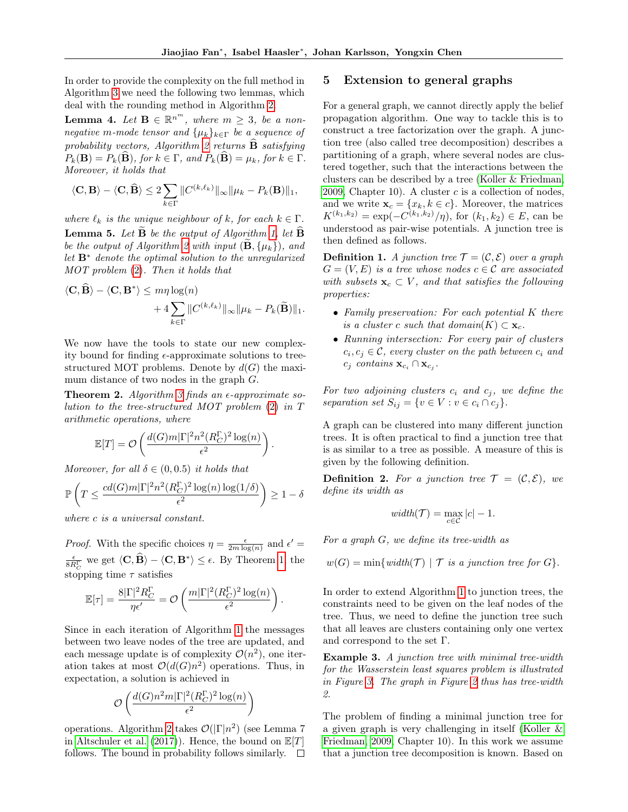In order to provide the complexity on the full method in Algorithm [3](#page-5-1) we need the following two lemmas, which deal with the rounding method in Algorithm [2.](#page-4-1)

<span id="page-6-1"></span>**Lemma 4.** Let  $\mathbf{B} \in \mathbb{R}^{n^m}$ , where  $m \geq 3$ , be a nonnegative m-mode tensor and  $\{\mu_k\}_{k\in\Gamma}$  be a sequence of probability vectors, Algorithm [2](#page-4-1) returns  $\hat{\mathbf{B}}$  satisfying  $P_k(\mathbf{B}) = P_k(\widehat{\mathbf{B}})$ , for  $k \in \Gamma$ , and  $P_k(\widehat{\mathbf{B}}) = \mu_k$ , for  $k \in \Gamma$ . Moreover, it holds that

$$
\langle \mathbf{C}, \mathbf{B} \rangle - \langle \mathbf{C}, \widehat{\mathbf{B}} \rangle \le 2 \sum_{k \in \Gamma} \| C^{(k,\ell_k)} \|_{\infty} \| \mu_k - P_k(\mathbf{B}) \|_1,
$$

<span id="page-6-2"></span>where  $\ell_k$  is the unique neighbour of k, for each  $k \in \Gamma$ . **Lemma 5.** Let  $\overrightarrow{B}$  be the output of Algorithm [1,](#page-4-0) let  $\overrightarrow{B}$ be the output of Algorithm [2](#page-4-1) with input  $(\mathbf{B}, \{\mu_k\})$ , and let  $\mathbf{B}^*$  denote the optimal solution to the unregularized MOT problem [\(2\)](#page-0-0). Then it holds that

$$
\langle \mathbf{C}, \widehat{\mathbf{B}} \rangle - \langle \mathbf{C}, \mathbf{B}^* \rangle \le m\eta \log(n) + 4 \sum_{k \in \Gamma} \| C^{(k,\ell_k)} \|_{\infty} \| \mu_k - P_k(\widetilde{\mathbf{B}}) \|_1.
$$

We now have the tools to state our new complexity bound for finding  $\epsilon$ -approximate solutions to treestructured MOT problems. Denote by  $d(G)$  the maximum distance of two nodes in the graph G.

<span id="page-6-0"></span>**Theorem 2.** Algorithm [3](#page-5-1) finds an  $\epsilon$ -approximate solution to the tree-structured MOT problem [\(2\)](#page-0-0) in T arithmetic operations, where

$$
\mathbb{E}[T] = \mathcal{O}\left(\frac{d(G)m|\Gamma|^2 n^2 (R_C^{\Gamma})^2 \log(n)}{\epsilon^2}\right).
$$

Moreover, for all  $\delta \in (0, 0.5)$  it holds that

$$
\mathbb{P}\left(T \leq \frac{cd(G)m|\Gamma|^2n^2(R_C^{\Gamma})^2\log(n)\log(1/\delta)}{\epsilon^2}\right) \geq 1-\delta
$$

where c is a universal constant.

*Proof.* With the specific choices  $\eta = \frac{\epsilon}{2m \log(n)}$  and  $\epsilon' =$  $\frac{\epsilon}{8R_C^{\Gamma}}$  we get  $\langle \mathbf{C}, \widehat{\mathbf{B}} \rangle - \langle \mathbf{C}, \mathbf{B}^* \rangle \leq \epsilon$ . By Theorem [1,](#page-5-4) the stopping time  $\tau$  satisfies

$$
\mathbb{E}[\tau] = \frac{8|\Gamma|^2 R_C^{\Gamma}}{\eta \epsilon'} = \mathcal{O}\left(\frac{m|\Gamma|^2 (R_C^{\Gamma})^2 \log(n)}{\epsilon^2}\right).
$$

Since in each iteration of Algorithm [1](#page-4-0) the messages between two leave nodes of the tree are updated, and each message update is of complexity  $\mathcal{O}(n^2)$ , one iteration takes at most  $\mathcal{O}(d(G)n^2)$  operations. Thus, in expectation, a solution is achieved in

$$
\mathcal{O}\left(\frac{d(G)n^2m|\Gamma|^2(R_C^{\Gamma})^2\log(n)}{\epsilon^2}\right)
$$

operations. Algorithm [2](#page-4-1) takes  $\mathcal{O}(|\Gamma|n^2)$  (see Lemma 7 in [Altschuler et al.](#page-9-22) [\(2017\)](#page-9-22)). Hence, the bound on  $\mathbb{E}[T]$ follows. The bound in probability follows similarly.  $\square$ 

### 5 Extension to general graphs

For a general graph, we cannot directly apply the belief propagation algorithm. One way to tackle this is to construct a tree factorization over the graph. A junction tree (also called tree decomposition) describes a partitioning of a graph, where several nodes are clustered together, such that the interactions between the clusters can be described by a tree [\(Koller & Friedman,](#page-9-21) [2009,](#page-9-21) Chapter 10). A cluster  $c$  is a collection of nodes, and we write  $\mathbf{x}_c = \{x_k, k \in c\}$ . Moreover, the matrices  $K^{(k_1,k_2)} = \exp(-C^{(k_1,k_2)}/\eta)$ , for  $(k_1,k_2) \in E$ , can be understood as pair-wise potentials. A junction tree is then defined as follows.

**Definition 1.** A junction tree  $\mathcal{T} = (\mathcal{C}, \mathcal{E})$  over a graph  $G = (V, E)$  is a tree whose nodes  $c \in C$  are associated with subsets  $\mathbf{x}_c \subset V$ , and that satisfies the following properties:

- Family preservation: For each potential K there is a cluster c such that domain $(K) \subset \mathbf{x}_c$ .
- Running intersection: For every pair of clusters  $c_i, c_j \in \mathcal{C}$ , every cluster on the path between  $c_i$  and  $c_j$  contains  $\mathbf{x}_{c_i} \cap \mathbf{x}_{c_j}$ .

For two adjoining clusters  $c_i$  and  $c_j$ , we define the separation set  $S_{ij} = \{v \in V : v \in c_i \cap c_j\}.$ 

A graph can be clustered into many different junction trees. It is often practical to find a junction tree that is as similar to a tree as possible. A measure of this is given by the following definition.

**Definition 2.** For a junction tree  $\mathcal{T} = (\mathcal{C}, \mathcal{E})$ , we define its width as

$$
\text{width}(\mathcal{T}) = \max_{c \in \mathcal{C}} |c| - 1.
$$

For a graph G, we define its tree-width as

$$
w(G) = min\{width(\mathcal{T}) | \mathcal{T} is a junction tree for G\}.
$$

In order to extend Algorithm [1](#page-4-0) to junction trees, the constraints need to be given on the leaf nodes of the tree. Thus, we need to define the junction tree such that all leaves are clusters containing only one vertex and correspond to the set Γ.

Example 3. A junction tree with minimal tree-width for the Wasserstein least squares problem is illustrated in Figure [3.](#page-7-0) The graph in Figure [2](#page-2-4) thus has tree-width 2.

The problem of finding a minimal junction tree for a given graph is very challenging in itself [\(Koller &](#page-9-21) [Friedman, 2009,](#page-9-21) Chapter 10). In this work we assume that a junction tree decomposition is known. Based on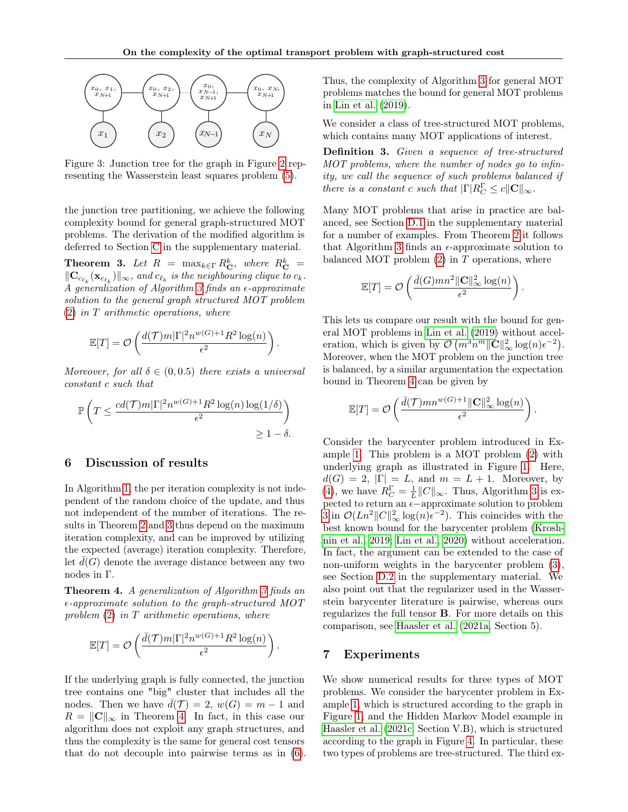<span id="page-7-0"></span>

Figure 3: Junction tree for the graph in Figure [2](#page-2-4) representing the Wasserstein least squares problem [\(5\)](#page-2-3).

the junction tree partitioning, we achieve the following complexity bound for general graph-structured MOT problems. The derivation of the modified algorithm is deferred to Section [C](#page-12-0) in the supplementary material.

<span id="page-7-1"></span>**Theorem 3.** Let  $R = \max_{k \in \Gamma} R_{\mathbf{C}}^k$ , where  $R_{\mathbf{C}}^k =$  $\|\mathbf{C}_{c_{\ell_k}}(\mathbf{x}_{c_{\ell_k}})\|_{\infty}$ , and  $c_{\ell_k}$  is the neighbouring clique to  $c_k$ . A generalization of Algorithm [3](#page-5-1) finds an  $\epsilon$ -approximate solution to the general graph structured MOT problem [\(2\)](#page-0-0) in T arithmetic operations, where

$$
\mathbb{E}[T] = \mathcal{O}\left(\frac{d(\mathcal{T})m|\Gamma|^2 n^{w(G)+1} R^2 \log(n)}{\epsilon^2}\right).
$$

Moreover, for all  $\delta \in (0, 0.5)$  there exists a universal constant c such that

$$
\mathbb{P}\left(T \leq \frac{cd(T)m|\Gamma|^2 n^{w(G)+1}R^2\log(n)\log(1/\delta)}{\epsilon^2}\right) \geq 1-\delta.
$$

## <span id="page-7-3"></span>6 Discussion of results

In Algorithm [1,](#page-4-0) the per iteration complexity is not independent of the random choice of the update, and thus not independent of the number of iterations. The results in Theorem [2](#page-6-0) and [3](#page-7-1) thus depend on the maximum iteration complexity, and can be improved by utilizing the expected (average) iteration complexity. Therefore, let  $d(G)$  denote the average distance between any two nodes in Γ.

<span id="page-7-2"></span>Theorem 4. A generalization of Algorithm [3](#page-5-1) finds an  $\epsilon$ -approximate solution to the graph-structured MOT problem  $(2)$  in T arithmetic operations, where

$$
\mathbb{E}[T] = \mathcal{O}\left(\frac{\bar{d}(\mathcal{T})m|\Gamma|^2 n^{w(G)+1} R^2 \log(n)}{\epsilon^2}\right).
$$

If the underlying graph is fully connected, the junction tree contains one "big" cluster that includes all the nodes. Then we have  $\bar{d}(\mathcal{T}) = 2$ ,  $w(G) = m - 1$  and  $R = \Vert \mathbf{C} \Vert_{\infty}$  in Theorem [4.](#page-7-2) In fact, in this case our algorithm does not exploit any graph structures, and thus the complexity is the same for general cost tensors that do not decouple into pairwise terms as in [\(6\)](#page-3-1). Thus, the complexity of Algorithm [3](#page-5-1) for general MOT problems matches the bound for general MOT problems in [Lin et al.](#page-9-6) [\(2019\)](#page-9-6).

We consider a class of tree-structured MOT problems, which contains many MOT applications of interest.

<span id="page-7-4"></span>Definition 3. Given a sequence of tree-structured MOT problems, where the number of nodes go to infinity, we call the sequence of such problems balanced if there is a constant c such that  $|\Gamma| R_C^{\Gamma} \leq c ||\mathbf{C}||_{\infty}$ .

Many MOT problems that arise in practice are balanced, see Section [D.1](#page-12-1) in the supplementary material for a number of examples. From Theorem [2](#page-6-0) it follows that Algorithm [3](#page-5-1) finds an  $\epsilon$ -approximate solution to balanced MOT problem  $(2)$  in T operations, where

$$
\mathbb{E}[T] = \mathcal{O}\left(\frac{\bar{d}(G)mn^2\|\mathbf{C}\|_{\infty}^2\log(n)}{\epsilon^2}\right).
$$

This lets us compare our result with the bound for general MOT problems in [Lin et al.](#page-9-6) [\(2019\)](#page-9-6) without acceleration, which is given by  $\mathcal{O}(m^3 n^m \|\mathbf{C}\|_{\infty}^2 \log(n) \epsilon^{-2}).$ Moreover, when the MOT problem on the junction tree is balanced, by a similar argumentation the expectation bound in Theorem [4](#page-7-2) can be given by

$$
\mathbb{E}[T] = \mathcal{O}\left(\frac{\bar{d}(\mathcal{T})mn^{w(G)+1}\|\mathbf{C}\|_{\infty}^2\log(n)}{\epsilon^2}\right)
$$

.

Consider the barycenter problem introduced in Example [1.](#page-2-5) This problem is a MOT problem [\(2\)](#page-0-0) with underlying graph as illustrated in Figure [1.](#page-2-1) Here,  $d(G) = 2, |\Gamma| = L$ , and  $m = L + 1$ . Moreover, by [\(4\)](#page-2-7), we have  $R_C^{\Gamma} = \frac{1}{L} ||C||_{\infty}$ . Thus, Algorithm [3](#page-5-1) is expected to return an  $\epsilon{\rm{-approximate}}$  solution to problem [3](#page-2-2) in  $\mathcal{O}(Ln^2 ||C||^2_{\infty} \log(n) \epsilon^{-2})$ . This coincides with the best known bound for the barycenter problem [\(Krosh](#page-9-9)[nin et al., 2019;](#page-9-9) [Lin et al., 2020\)](#page-9-10) without acceleration. In fact, the argument can be extended to the case of non-uniform weights in the barycenter problem [\(3\)](#page-2-2), see Section [D.2](#page-13-0) in the supplementary material. We also point out that the regularizer used in the Wasserstein barycenter literature is pairwise, whereas ours regularizes the full tensor B. For more details on this comparison, see [Haasler et al.](#page-9-20) [\(2021a,](#page-9-20) Section 5).

## 7 Experiments

We show numerical results for three types of MOT problems. We consider the barycenter problem in Example [1,](#page-2-5) which is structured according to the graph in Figure [1,](#page-2-1) and the Hidden Markov Model example in [Haasler et al.](#page-9-12) [\(2021c,](#page-9-12) Section V.B), which is structured according to the graph in Figure [4.](#page-8-1) In particular, these two types of problems are tree-structured. The third ex-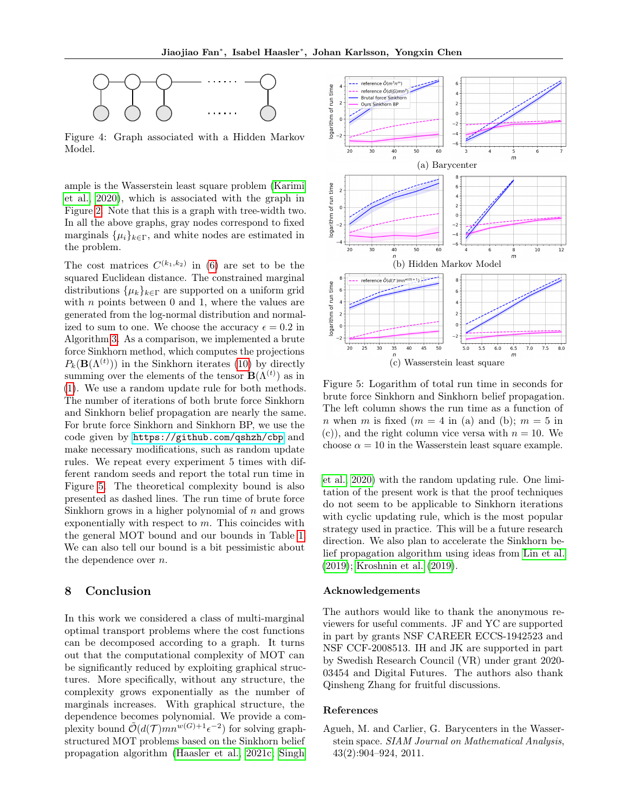<span id="page-8-1"></span>

Figure 4: Graph associated with a Hidden Markov Model.

ample is the Wasserstein least square problem [\(Karimi](#page-9-19) [et al., 2020\)](#page-9-19), which is associated with the graph in Figure [2.](#page-2-4) Note that this is a graph with tree-width two. In all the above graphs, gray nodes correspond to fixed marginals  $\{\mu_i\}_{k\in\Gamma}$ , and white nodes are estimated in the problem.

The cost matrices  $C^{(k_1,k_2)}$  in [\(6\)](#page-3-1) are set to be the squared Euclidean distance. The constrained marginal distributions  $\{\mu_k\}_{k\in\Gamma}$  are supported on a uniform grid with  $n$  points between 0 and 1, where the values are generated from the log-normal distribution and normalized to sum to one. We choose the accuracy  $\epsilon = 0.2$  in Algorithm [3.](#page-5-1) As a comparison, we implemented a brute force Sinkhorn method, which computes the projections  $P_k(\mathbf{B}(\Lambda^{(t)}))$  in the Sinkhorn iterates [\(10\)](#page-3-4) by directly summing over the elements of the tensor  $\mathbf{B}(\Lambda^{(t)})$  as in [\(1\)](#page-0-1). We use a random update rule for both methods. The number of iterations of both brute force Sinkhorn and Sinkhorn belief propagation are nearly the same. For brute force Sinkhorn and Sinkhorn BP, we use the code given by <https://github.com/qshzh/cbp> and make necessary modifications, such as random update rules. We repeat every experiment 5 times with different random seeds and report the total run time in Figure [5.](#page-8-2) The theoretical complexity bound is also presented as dashed lines. The run time of brute force Sinkhorn grows in a higher polynomial of  $n$  and grows exponentially with respect to  $m$ . This coincides with the general MOT bound and our bounds in Table [1.](#page-2-1) We can also tell our bound is a bit pessimistic about the dependence over n.

## 8 Conclusion

In this work we considered a class of multi-marginal optimal transport problems where the cost functions can be decomposed according to a graph. It turns out that the computational complexity of MOT can be significantly reduced by exploiting graphical structures. More specifically, without any structure, the complexity grows exponentially as the number of marginals increases. With graphical structure, the dependence becomes polynomial. We provide a complexity bound  $\tilde{\mathcal{O}}(d(\mathcal{T})mn^{w(G)+1}\epsilon^{-2})$  for solving graphstructured MOT problems based on the Sinkhorn belief propagation algorithm [\(Haasler et al., 2021c;](#page-9-12) [Singh](#page-9-17)

<span id="page-8-2"></span>

Figure 5: Logarithm of total run time in seconds for brute force Sinkhorn and Sinkhorn belief propagation. The left column shows the run time as a function of n when m is fixed  $(m = 4$  in (a) and (b);  $m = 5$  in (c)), and the right column vice versa with  $n = 10$ . We choose  $\alpha = 10$  in the Wasserstein least square example.

[et al., 2020\)](#page-9-17) with the random updating rule. One limitation of the present work is that the proof techniques do not seem to be applicable to Sinkhorn iterations with cyclic updating rule, which is the most popular strategy used in practice. This will be a future research direction. We also plan to accelerate the Sinkhorn belief propagation algorithm using ideas from [Lin et al.](#page-9-6) [\(2019\)](#page-9-6); [Kroshnin et al.](#page-9-9) [\(2019\)](#page-9-9).

#### Acknowledgements

The authors would like to thank the anonymous reviewers for useful comments. JF and YC are supported in part by grants NSF CAREER ECCS-1942523 and NSF CCF-2008513. IH and JK are supported in part by Swedish Research Council (VR) under grant 2020- 03454 and Digital Futures. The authors also thank Qinsheng Zhang for fruitful discussions.

### References

<span id="page-8-0"></span>Agueh, M. and Carlier, G. Barycenters in the Wasserstein space. SIAM Journal on Mathematical Analysis, 43(2):904–924, 2011.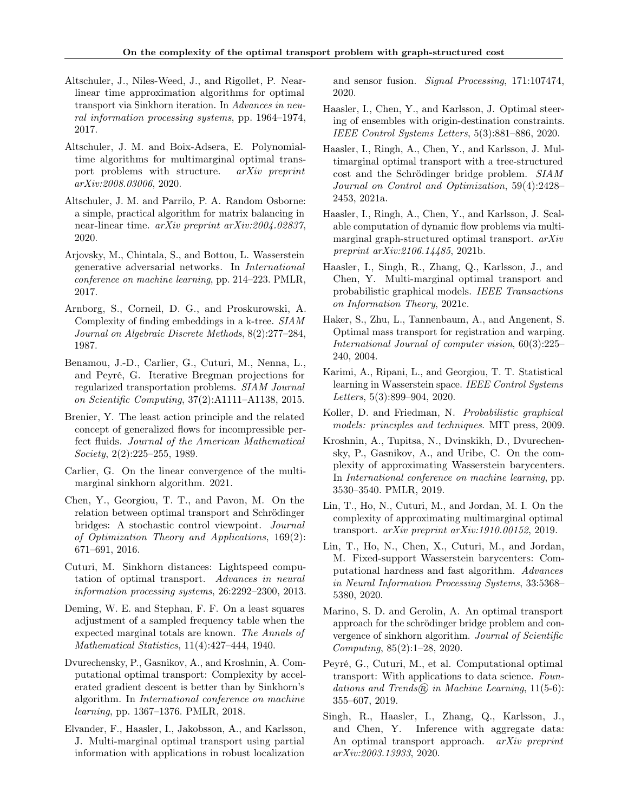- <span id="page-9-22"></span>Altschuler, J., Niles-Weed, J., and Rigollet, P. Nearlinear time approximation algorithms for optimal transport via Sinkhorn iteration. In Advances in neural information processing systems, pp. 1964–1974, 2017.
- <span id="page-9-7"></span>Altschuler, J. M. and Boix-Adsera, E. Polynomialtime algorithms for multimarginal optimal transport problems with structure. arXiv preprint arXiv:2008.03006, 2020.
- <span id="page-9-25"></span>Altschuler, J. M. and Parrilo, P. A. Random Osborne: a simple, practical algorithm for matrix balancing in near-linear time. arXiv preprint arXiv:2004.02837, 2020.
- <span id="page-9-2"></span>Arjovsky, M., Chintala, S., and Bottou, L. Wasserstein generative adversarial networks. In International conference on machine learning, pp. 214–223. PMLR, 2017.
- <span id="page-9-24"></span>Arnborg, S., Corneil, D. G., and Proskurowski, A. Complexity of finding embeddings in a k-tree. SIAM Journal on Algebraic Discrete Methods, 8(2):277–284, 1987.
- <span id="page-9-13"></span>Benamou, J.-D., Carlier, G., Cuturi, M., Nenna, L., and Peyré, G. Iterative Bregman projections for regularized transportation problems. SIAM Journal on Scientific Computing, 37(2):A1111–A1138, 2015.
- <span id="page-9-18"></span>Brenier, Y. The least action principle and the related concept of generalized flows for incompressible perfect fluids. Journal of the American Mathematical Society, 2(2):225–255, 1989.
- <span id="page-9-8"></span>Carlier, G. On the linear convergence of the multimarginal sinkhorn algorithm. 2021.
- <span id="page-9-4"></span>Chen, Y., Georgiou, T. T., and Pavon, M. On the relation between optimal transport and Schrödinger bridges: A stochastic control viewpoint. Journal of Optimization Theory and Applications, 169(2): 671–691, 2016.
- <span id="page-9-0"></span>Cuturi, M. Sinkhorn distances: Lightspeed computation of optimal transport. Advances in neural information processing systems, 26:2292–2300, 2013.
- <span id="page-9-5"></span>Deming, W. E. and Stephan, F. F. On a least squares adjustment of a sampled frequency table when the expected marginal totals are known. The Annals of Mathematical Statistics, 11(4):427–444, 1940.
- <span id="page-9-16"></span>Dvurechensky, P., Gasnikov, A., and Kroshnin, A. Computational optimal transport: Complexity by accelerated gradient descent is better than by Sinkhorn's algorithm. In International conference on machine learning, pp. 1367–1376. PMLR, 2018.
- <span id="page-9-11"></span>Elvander, F., Haasler, I., Jakobsson, A., and Karlsson, J. Multi-marginal optimal transport using partial information with applications in robust localization

and sensor fusion. Signal Processing, 171:107474, 2020.

- <span id="page-9-14"></span>Haasler, I., Chen, Y., and Karlsson, J. Optimal steering of ensembles with origin-destination constraints. IEEE Control Systems Letters, 5(3):881–886, 2020.
- <span id="page-9-20"></span>Haasler, I., Ringh, A., Chen, Y., and Karlsson, J. Multimarginal optimal transport with a tree-structured cost and the Schrödinger bridge problem. SIAM Journal on Control and Optimization, 59(4):2428– 2453, 2021a.
- <span id="page-9-15"></span>Haasler, I., Ringh, A., Chen, Y., and Karlsson, J. Scalable computation of dynamic flow problems via multimarginal graph-structured optimal transport. arXiv preprint arXiv:2106.14485, 2021b.
- <span id="page-9-12"></span>Haasler, I., Singh, R., Zhang, Q., Karlsson, J., and Chen, Y. Multi-marginal optimal transport and probabilistic graphical models. IEEE Transactions on Information Theory, 2021c.
- <span id="page-9-3"></span>Haker, S., Zhu, L., Tannenbaum, A., and Angenent, S. Optimal mass transport for registration and warping. International Journal of computer vision, 60(3):225– 240, 2004.
- <span id="page-9-19"></span>Karimi, A., Ripani, L., and Georgiou, T. T. Statistical learning in Wasserstein space. IEEE Control Systems Letters, 5(3):899–904, 2020.
- <span id="page-9-21"></span>Koller, D. and Friedman, N. Probabilistic graphical models: principles and techniques. MIT press, 2009.
- <span id="page-9-9"></span>Kroshnin, A., Tupitsa, N., Dvinskikh, D., Dvurechensky, P., Gasnikov, A., and Uribe, C. On the complexity of approximating Wasserstein barycenters. In International conference on machine learning, pp. 3530–3540. PMLR, 2019.
- <span id="page-9-6"></span>Lin, T., Ho, N., Cuturi, M., and Jordan, M. I. On the complexity of approximating multimarginal optimal transport. arXiv preprint arXiv:1910.00152, 2019.
- <span id="page-9-10"></span>Lin, T., Ho, N., Chen, X., Cuturi, M., and Jordan, M. Fixed-support Wasserstein barycenters: Computational hardness and fast algorithm. Advances in Neural Information Processing Systems, 33:5368– 5380, 2020.
- <span id="page-9-23"></span>Marino, S. D. and Gerolin, A. An optimal transport approach for the schrödinger bridge problem and convergence of sinkhorn algorithm. Journal of Scientific Computing, 85(2):1–28, 2020.
- <span id="page-9-1"></span>Peyré, G., Cuturi, M., et al. Computational optimal transport: With applications to data science. Foundations and Trends@ in Machine Learning,  $11(5-6)$ : 355–607, 2019.
- <span id="page-9-17"></span>Singh, R., Haasler, I., Zhang, Q., Karlsson, J., and Chen, Y. Inference with aggregate data: An optimal transport approach. arXiv preprint arXiv:2003.13933, 2020.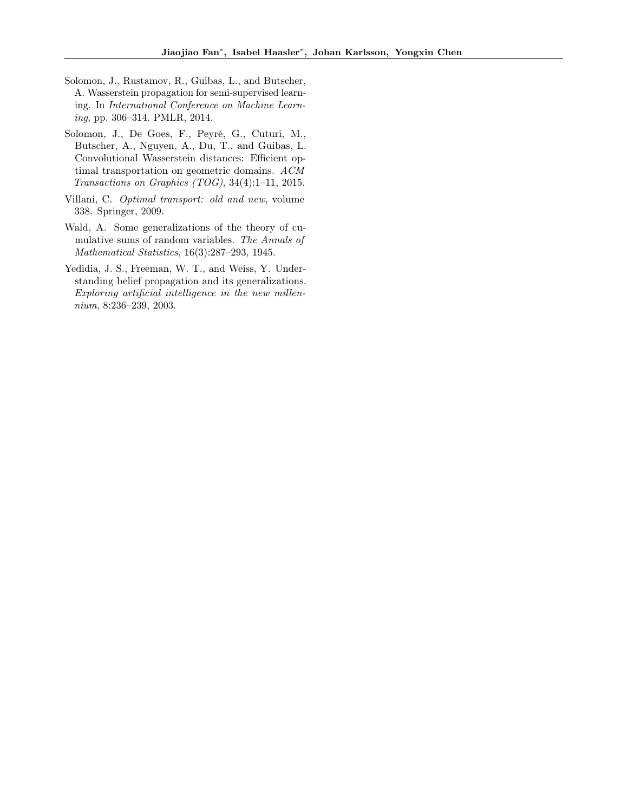- <span id="page-10-1"></span>Solomon, J., Rustamov, R., Guibas, L., and Butscher, A. Wasserstein propagation for semi-supervised learning. In International Conference on Machine Learning, pp. 306–314. PMLR, 2014.
- <span id="page-10-2"></span>Solomon, J., De Goes, F., Peyré, G., Cuturi, M., Butscher, A., Nguyen, A., Du, T., and Guibas, L. Convolutional Wasserstein distances: Efficient optimal transportation on geometric domains. ACM Transactions on Graphics (TOG), 34(4):1–11, 2015.
- <span id="page-10-0"></span>Villani, C. Optimal transport: old and new, volume 338. Springer, 2009.
- <span id="page-10-4"></span>Wald, A. Some generalizations of the theory of cumulative sums of random variables. The Annals of Mathematical Statistics, 16(3):287–293, 1945.
- <span id="page-10-3"></span>Yedidia, J. S., Freeman, W. T., and Weiss, Y. Understanding belief propagation and its generalizations. Exploring artificial intelligence in the new millennium, 8:236–239, 2003.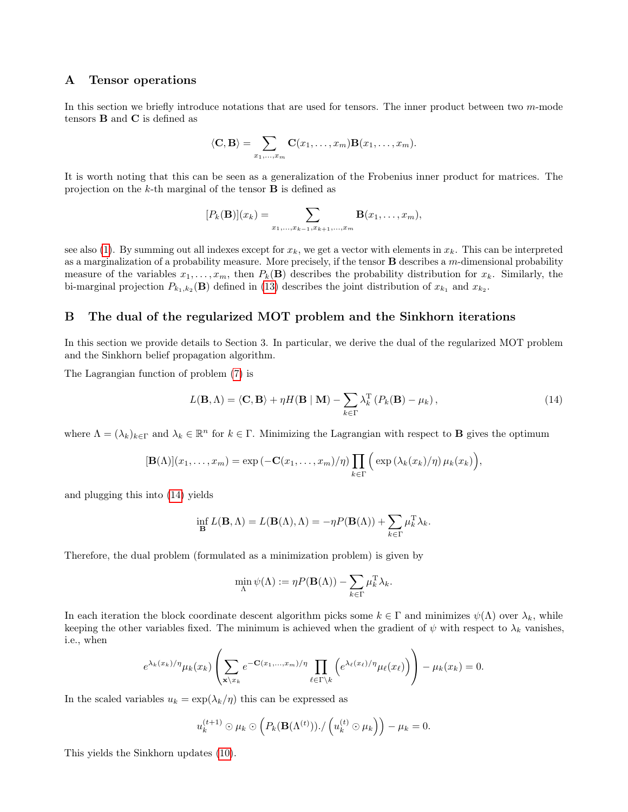## A Tensor operations

In this section we briefly introduce notations that are used for tensors. The inner product between two m-mode tensors B and C is defined as

$$
\langle \mathbf{C}, \mathbf{B} \rangle = \sum_{x_1, \dots, x_m} \mathbf{C}(x_1, \dots, x_m) \mathbf{B}(x_1, \dots, x_m).
$$

It is worth noting that this can be seen as a generalization of the Frobenius inner product for matrices. The projection on the k-th marginal of the tensor  $\bf{B}$  is defined as

$$
[P_k(\mathbf{B})](x_k) = \sum_{x_1,...,x_{k-1},x_{k+1},...,x_m} \mathbf{B}(x_1,...,x_m),
$$

see also [\(1\)](#page-0-1). By summing out all indexes except for  $x_k$ , we get a vector with elements in  $x_k$ . This can be interpreted as a marginalization of a probability measure. More precisely, if the tensor  $\bf{B}$  describes a m-dimensional probability measure of the variables  $x_1, \ldots, x_m$ , then  $P_k(\mathbf{B})$  describes the probability distribution for  $x_k$ . Similarly, the bi-marginal projection  $P_{k_1,k_2}(\mathbf{B})$  defined in [\(13\)](#page-4-4) describes the joint distribution of  $x_{k_1}$  and  $x_{k_2}$ .

### B The dual of the regularized MOT problem and the Sinkhorn iterations

In this section we provide details to Section 3. In particular, we derive the dual of the regularized MOT problem and the Sinkhorn belief propagation algorithm.

The Lagrangian function of problem [\(7\)](#page-3-2) is

<span id="page-11-0"></span>
$$
L(\mathbf{B}, \Lambda) = \langle \mathbf{C}, \mathbf{B} \rangle + \eta H(\mathbf{B} \mid \mathbf{M}) - \sum_{k \in \Gamma} \lambda_k^{\mathrm{T}} \left( P_k(\mathbf{B}) - \mu_k \right), \tag{14}
$$

where  $\Lambda = (\lambda_k)_{k \in \Gamma}$  and  $\lambda_k \in \mathbb{R}^n$  for  $k \in \Gamma$ . Minimizing the Lagrangian with respect to **B** gives the optimum

$$
[\mathbf{B}(\Lambda)](x_1,\ldots,x_m)=\exp(-\mathbf{C}(x_1,\ldots,x_m)/\eta)\prod_{k\in\Gamma}\Big(\exp(\lambda_k(x_k)/\eta)\,\mu_k(x_k)\Big),\,
$$

and plugging this into [\(14\)](#page-11-0) yields

$$
\inf_{\mathbf{B}} L(\mathbf{B}, \Lambda) = L(\mathbf{B}(\Lambda), \Lambda) = -\eta P(\mathbf{B}(\Lambda)) + \sum_{k \in \Gamma} \mu_k^{\mathrm{T}} \lambda_k.
$$

Therefore, the dual problem (formulated as a minimization problem) is given by

$$
\min_{\Lambda} \psi(\Lambda) := \eta P(\mathbf{B}(\Lambda)) - \sum_{k \in \Gamma} \mu_k^{\mathrm{T}} \lambda_k.
$$

In each iteration the block coordinate descent algorithm picks some  $k \in \Gamma$  and minimizes  $\psi(\Lambda)$  over  $\lambda_k$ , while keeping the other variables fixed. The minimum is achieved when the gradient of  $\psi$  with respect to  $\lambda_k$  vanishes, i.e., when

$$
e^{\lambda_k(x_k)/\eta}\mu_k(x_k)\left(\sum_{\mathbf{x}\backslash x_k}e^{-\mathbf{C}(x_1,\ldots,x_m)/\eta}\prod_{\ell\in\Gamma\backslash k}\left(e^{\lambda_\ell(x_\ell)/\eta}\mu_\ell(x_\ell)\right)\right)-\mu_k(x_k)=0.
$$

In the scaled variables  $u_k = \exp(\lambda_k/\eta)$  this can be expressed as

$$
u_k^{(t+1)} \odot \mu_k \odot \left( P_k(\mathbf{B}(\Lambda^{(t)})) \cdot / \left( u_k^{(t)} \odot \mu_k \right) \right) - \mu_k = 0.
$$

This yields the Sinkhorn updates [\(10\)](#page-3-4).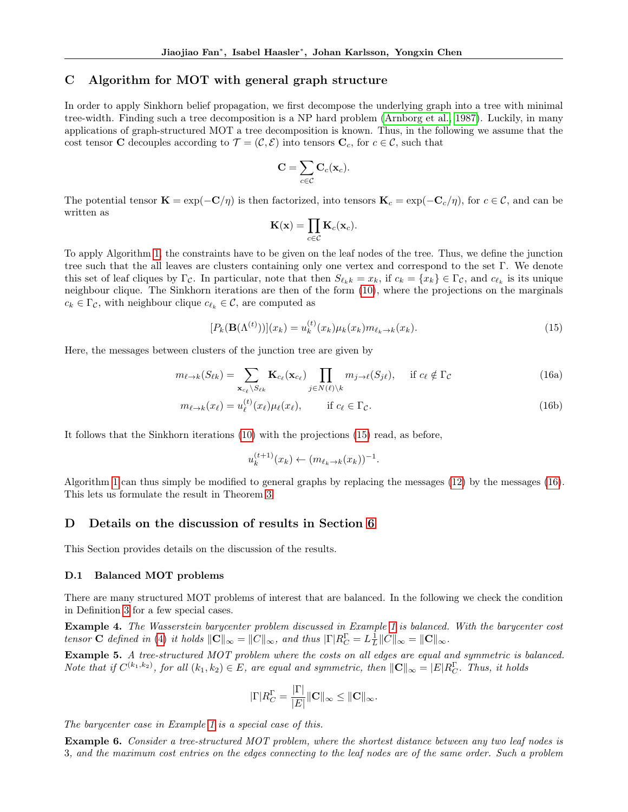## <span id="page-12-0"></span>C Algorithm for MOT with general graph structure

In order to apply Sinkhorn belief propagation, we first decompose the underlying graph into a tree with minimal tree-width. Finding such a tree decomposition is a NP hard problem [\(Arnborg et al., 1987\)](#page-9-24). Luckily, in many applications of graph-structured MOT a tree decomposition is known. Thus, in the following we assume that the cost tensor C decouples according to  $\mathcal{T} = (\mathcal{C}, \mathcal{E})$  into tensors  $C_c$ , for  $c \in \mathcal{C}$ , such that

$$
\mathbf{C}=\sum_{c\in\mathcal{C}}\mathbf{C}_c(\mathbf{x}_c).
$$

The potential tensor  $\mathbf{K} = \exp(-\mathbf{C}/\eta)$  is then factorized, into tensors  $\mathbf{K}_c = \exp(-\mathbf{C}_c/\eta)$ , for  $c \in \mathcal{C}$ , and can be written as

<span id="page-12-3"></span><span id="page-12-2"></span>
$$
\mathbf{K}(\mathbf{x}) = \prod_{c \in \mathcal{C}} \mathbf{K}_c(\mathbf{x}_c).
$$

To apply Algorithm [1,](#page-4-0) the constraints have to be given on the leaf nodes of the tree. Thus, we define the junction tree such that the all leaves are clusters containing only one vertex and correspond to the set Γ. We denote this set of leaf cliques by  $\Gamma_{\mathcal{C}}$ . In particular, note that then  $S_{\ell_k k} = x_k$ , if  $c_k = \{x_k\} \in \Gamma_{\mathcal{C}}$ , and  $c_{\ell_k}$  is its unique neighbour clique. The Sinkhorn iterations are then of the form [\(10\)](#page-3-4), where the projections on the marginals  $c_k \in \Gamma_{\mathcal{C}}$ , with neighbour clique  $c_{\ell_k} \in \mathcal{C}$ , are computed as

$$
[P_k(\mathbf{B}(\Lambda^{(t)}))](x_k) = u_k^{(t)}(x_k)\mu_k(x_k)m_{\ell_k \to k}(x_k).
$$
\n(15)

Here, the messages between clusters of the junction tree are given by

$$
m_{\ell \to k}(S_{\ell k}) = \sum_{\mathbf{x}_{c_{\ell}} \backslash S_{\ell k}} \mathbf{K}_{c_{\ell}}(\mathbf{x}_{c_{\ell}}) \prod_{j \in N(\ell) \backslash k} m_{j \to \ell}(S_{j\ell}), \quad \text{if } c_{\ell} \notin \Gamma_{\mathcal{C}}
$$
(16a)

$$
m_{\ell \to k}(x_{\ell}) = u_{\ell}^{(t)}(x_{\ell})\mu_{\ell}(x_{\ell}), \qquad \text{if } c_{\ell} \in \Gamma_{\mathcal{C}}.
$$
\n(16b)

It follows that the Sinkhorn iterations [\(10\)](#page-3-4) with the projections [\(15\)](#page-12-2) read, as before,

$$
u_k^{(t+1)}(x_k) \leftarrow (m_{\ell_k \to k}(x_k))^{-1}.
$$

Algorithm [1](#page-4-0) can thus simply be modified to general graphs by replacing the messages [\(12\)](#page-4-3) by the messages [\(16\)](#page-12-3). This lets us formulate the result in Theorem [3.](#page-7-1)

## D Details on the discussion of results in Section [6](#page-7-3)

This Section provides details on the discussion of the results.

#### <span id="page-12-1"></span>D.1 Balanced MOT problems

There are many structured MOT problems of interest that are balanced. In the following we check the condition in Definition [3](#page-7-4) for a few special cases.

Example 4. The Wasserstein barycenter problem discussed in Example [1](#page-2-5) is balanced. With the barycenter cost tensor **C** defined in [\(4\)](#page-2-7) it holds  $||\mathbf{C}||_{\infty} = ||C||_{\infty}$ , and thus  $|\Gamma| R_C^{\Gamma} = L_{\frac{1}{L}} ||C||_{\infty} = ||\mathbf{C}||_{\infty}$ .

Example 5. A tree-structured MOT problem where the costs on all edges are equal and symmetric is balanced. Note that if  $C^{(k_1,k_2)}$ , for all  $(k_1,k_2) \in E$ , are equal and symmetric, then  $\|\mathbf{C}\|_{\infty} = |E|R_C^{\Gamma}$ . Thus, it holds

$$
|\Gamma| R_C^{\Gamma} = \frac{|\Gamma|}{|E|} ||\mathbf{C}||_{\infty} \le ||\mathbf{C}||_{\infty}.
$$

The barycenter case in Example [1](#page-2-5) is a special case of this.

Example 6. Consider a tree-structured MOT problem, where the shortest distance between any two leaf nodes is 3, and the maximum cost entries on the edges connecting to the leaf nodes are of the same order. Such a problem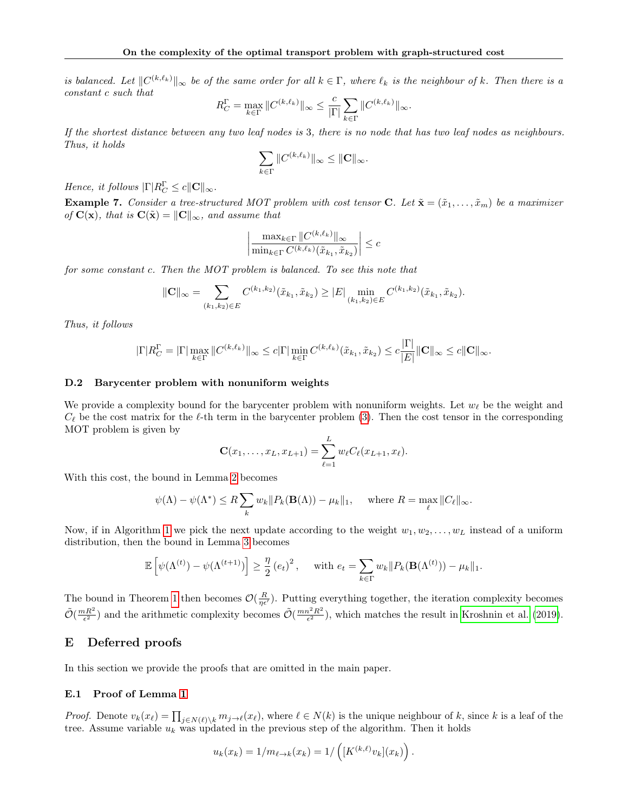is balanced. Let  $||C^{(k,\ell_k)}||_{\infty}$  be of the same order for all  $k \in \Gamma$ , where  $\ell_k$  is the neighbour of k. Then there is a constant c such that

$$
R_C^{\Gamma} = \max_{k \in \Gamma} \|C^{(k,\ell_k)}\|_{\infty} \le \frac{c}{|\Gamma|} \sum_{k \in \Gamma} \|C^{(k,\ell_k)}\|_{\infty}.
$$

If the shortest distance between any two leaf nodes is 3, there is no node that has two leaf nodes as neighbours. Thus, it holds

$$
\sum_{k\in\Gamma}\|C^{(k,\ell_k)}\|_\infty\leq\|\mathbf{C}\|_\infty.
$$

Hence, it follows  $\|\Gamma|R_C^{\Gamma} \leq c \|\mathbf{C}\|_{\infty}$ .

**Example 7.** Consider a tree-structured MOT problem with cost tensor C. Let  $\tilde{\mathbf{x}} = (\tilde{x}_1, \dots, \tilde{x}_m)$  be a maximizer of  $\mathbf{C}(\mathbf{x})$ , that is  $\mathbf{C}(\tilde{\mathbf{x}}) = ||\mathbf{C}||_{\infty}$ , and assume that

$$
\left| \frac{\max_{k \in \Gamma} \|C^{(k,\ell_k)}\|_{\infty}}{\min_{k \in \Gamma} C^{(k,\ell_k)}(\tilde{x}_{k_1}, \tilde{x}_{k_2})} \right| \leq c
$$

for some constant c. Then the MOT problem is balanced. To see this note that

$$
\|\mathbf{C}\|_{\infty} = \sum_{(k_1,k_2)\in E} C^{(k_1,k_2)}(\tilde{x}_{k_1},\tilde{x}_{k_2}) \ge |E| \min_{(k_1,k_2)\in E} C^{(k_1,k_2)}(\tilde{x}_{k_1},\tilde{x}_{k_2}).
$$

Thus, it follows

$$
|\Gamma| R_C^{\Gamma} = |\Gamma| \max_{k \in \Gamma} \|C^{(k,\ell_k)}\|_{\infty} \leq c|\Gamma| \min_{k \in \Gamma} C^{(k,\ell_k)}(\tilde{x}_{k_1}, \tilde{x}_{k_2}) \leq c \frac{|\Gamma|}{|E|} \|\mathbf{C}\|_{\infty} \leq c \|\mathbf{C}\|_{\infty}.
$$

#### <span id="page-13-0"></span>D.2 Barycenter problem with nonuniform weights

We provide a complexity bound for the barycenter problem with nonuniform weights. Let  $w_{\ell}$  be the weight and  $C_{\ell}$  be the cost matrix for the  $\ell$ -th term in the barycenter problem [\(3\)](#page-2-2). Then the cost tensor in the corresponding MOT problem is given by

$$
\mathbf{C}(x_1,\ldots,x_L,x_{L+1})=\sum_{\ell=1}^L w_{\ell}C_{\ell}(x_{L+1},x_{\ell}).
$$

With this cost, the bound in Lemma [2](#page-5-2) becomes

$$
\psi(\Lambda) - \psi(\Lambda^*) \le R \sum_k w_k \|P_k(\mathbf{B}(\Lambda)) - \mu_k\|_1
$$
, where  $R = \max_{\ell} \|C_{\ell}\|_{\infty}$ .

Now, if in Algorithm [1](#page-4-0) we pick the next update according to the weight  $w_1, w_2, \ldots, w_L$  instead of a uniform distribution, then the bound in Lemma [3](#page-5-3) becomes

$$
\mathbb{E}\left[\psi(\Lambda^{(t)}) - \psi(\Lambda^{(t+1)})\right] \ge \frac{\eta}{2} \left(e_t\right)^2, \quad \text{ with } e_t = \sum_{k \in \Gamma} w_k \|P_k(\mathbf{B}(\Lambda^{(t)})) - \mu_k\|_1.
$$

The bound in Theorem [1](#page-5-4) then becomes  $\mathcal{O}(\frac{R}{\eta\epsilon'})$ . Putting everything together, the iteration complexity becomes  $\tilde{\mathcal{O}}(\frac{mR^2}{\epsilon^2})$  and the arithmetic complexity becomes  $\tilde{\mathcal{O}}(\frac{mn^2R^2}{\epsilon^2})$  $\frac{2^2 R^2}{\epsilon^2}$ , which matches the result in [Kroshnin et al.](#page-9-9) [\(2019\)](#page-9-9).

## E Deferred proofs

In this section we provide the proofs that are omitted in the main paper.

## E.1 Proof of Lemma [1](#page-5-0)

*Proof.* Denote  $v_k(x_\ell) = \prod_{j \in N(\ell) \setminus k} m_{j \to \ell}(x_\ell)$ , where  $\ell \in N(k)$  is the unique neighbour of k, since k is a leaf of the tree. Assume variable  $u_k$  was updated in the previous step of the algorithm. Then it holds

$$
u_k(x_k) = 1/m_{\ell \to k}(x_k) = 1/\left([K^{(k,\ell)}v_k](x_k)\right).
$$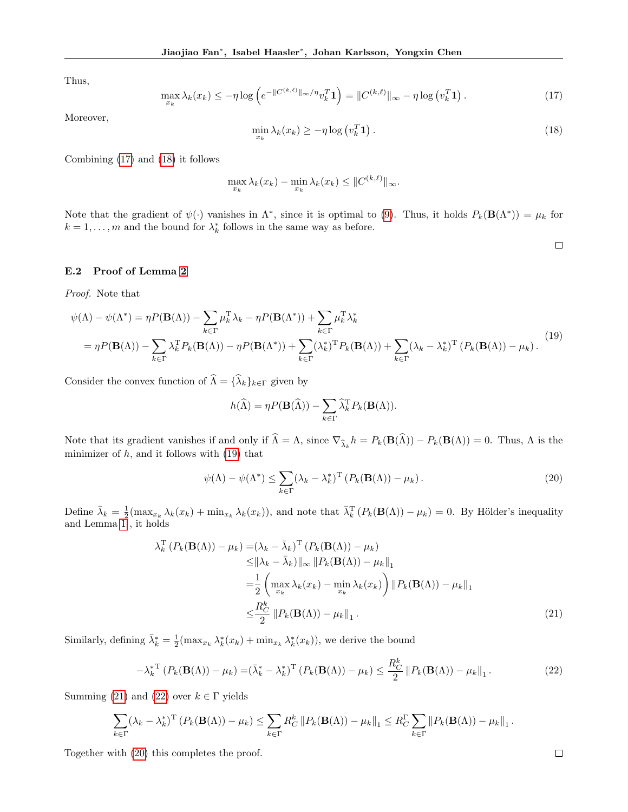Thus,

$$
\max_{x_k} \lambda_k(x_k) \le -\eta \log \left( e^{-\|C^{(k,\ell)}\|_{\infty}/\eta} v_k^T \mathbf{1} \right) = \|C^{(k,\ell)}\|_{\infty} - \eta \log \left( v_k^T \mathbf{1} \right). \tag{17}
$$

Moreover,

$$
\min_{x_k} \lambda_k(x_k) \ge -\eta \log \left( v_k^T \mathbf{1} \right). \tag{18}
$$

Combining [\(17\)](#page-14-0) and [\(18\)](#page-14-1) it follows

$$
\max_{x_k} \lambda_k(x_k) - \min_{x_k} \lambda_k(x_k) \leq \|C^{(k,\ell)}\|_{\infty}.
$$

Note that the gradient of  $\psi(\cdot)$  vanishes in  $\Lambda^*$ , since it is optimal to [\(9\)](#page-3-3). Thus, it holds  $P_k(\mathbf{B}(\Lambda^*)) = \mu_k$  for  $k = 1, \ldots, m$  and the bound for  $\lambda_k^*$  follows in the same way as before.

# <span id="page-14-5"></span><span id="page-14-3"></span><span id="page-14-2"></span><span id="page-14-1"></span><span id="page-14-0"></span> $\Box$

#### E.2 Proof of Lemma [2](#page-5-2)

Proof. Note that

$$
\psi(\Lambda) - \psi(\Lambda^*) = \eta P(\mathbf{B}(\Lambda)) - \sum_{k \in \Gamma} \mu_k^{\mathsf{T}} \lambda_k - \eta P(\mathbf{B}(\Lambda^*)) + \sum_{k \in \Gamma} \mu_k^{\mathsf{T}} \lambda_k^*
$$
  
= 
$$
\eta P(\mathbf{B}(\Lambda)) - \sum_{k \in \Gamma} \lambda_k^{\mathsf{T}} P_k(\mathbf{B}(\Lambda)) - \eta P(\mathbf{B}(\Lambda^*)) + \sum_{k \in \Gamma} (\lambda_k^*)^{\mathsf{T}} P_k(\mathbf{B}(\Lambda)) + \sum_{k \in \Gamma} (\lambda_k - \lambda_k^*)^{\mathsf{T}} (P_k(\mathbf{B}(\Lambda)) - \mu_k).
$$
<sup>(19)</sup>

Consider the convex function of  $\widehat{\Lambda} = {\widehat{\lambda_k}}_{k \in \Gamma}$  given by

$$
h(\widehat{\Lambda}) = \eta P(\mathbf{B}(\widehat{\Lambda})) - \sum_{k \in \Gamma} \widehat{\lambda}_k^{\mathrm{T}} P_k(\mathbf{B}(\Lambda)).
$$

Note that its gradient vanishes if and only if  $\Lambda = \Lambda$ , since  $\nabla_{\widehat{\lambda}_k} h = P_k(\mathbf{B}(\Lambda)) - P_k(\mathbf{B}(\Lambda)) = 0$ . Thus,  $\Lambda$  is the minimizer of  $h$ , and it follows with  $(19)$  that

<span id="page-14-4"></span>
$$
\psi(\Lambda) - \psi(\Lambda^*) \le \sum_{k \in \Gamma} (\lambda_k - \lambda_k^*)^{\mathrm{T}} \left( P_k(\mathbf{B}(\Lambda)) - \mu_k \right). \tag{20}
$$

Define  $\bar{\lambda}_k = \frac{1}{2} (\max_{x_k} \lambda_k(x_k) + \min_{x_k} \lambda_k(x_k))$ , and note that  $\bar{\lambda}_k^{\mathrm{T}}(P_k(\mathbf{B}(\Lambda)) - \mu_k) = 0$ . By Hölder's inequality and Lemma  $1$ , it holds

$$
\lambda_k^{\mathrm{T}} \left( P_k(\mathbf{B}(\Lambda)) - \mu_k \right) = \left( \lambda_k - \bar{\lambda}_k \right)^{\mathrm{T}} \left( P_k(\mathbf{B}(\Lambda)) - \mu_k \right)
$$
  
\n
$$
\leq \|\lambda_k - \bar{\lambda}_k\|_{\infty} \| P_k(\mathbf{B}(\Lambda)) - \mu_k \|_1
$$
  
\n
$$
= \frac{1}{2} \left( \max_{x_k} \lambda_k(x_k) - \min_{x_k} \lambda_k(x_k) \right) \| P_k(\mathbf{B}(\Lambda)) - \mu_k \|_1
$$
  
\n
$$
\leq \frac{R_C^k}{2} \| P_k(\mathbf{B}(\Lambda)) - \mu_k \|_1.
$$
 (21)

Similarly, defining  $\bar{\lambda}_k^* = \frac{1}{2} (\max_{x_k} \lambda_k^*(x_k) + \min_{x_k} \lambda_k^*(x_k))$ , we derive the bound

$$
-\lambda_k^*^{\mathrm{T}}\left(P_k(\mathbf{B}(\Lambda)) - \mu_k\right) = \left(\bar{\lambda}_k^* - \lambda_k^*\right)^{\mathrm{T}}\left(P_k(\mathbf{B}(\Lambda)) - \mu_k\right) \le \frac{R_C^k}{2} \|P_k(\mathbf{B}(\Lambda)) - \mu_k\|_1.
$$
\n(22)

Summing [\(21\)](#page-14-3) and [\(22\)](#page-14-4) over  $k \in \Gamma$  yields

$$
\sum_{k\in\Gamma} (\lambda_k - \lambda_k^*)^{\mathrm{T}} (P_k(\mathbf{B}(\Lambda)) - \mu_k) \leq \sum_{k\in\Gamma} R_C^k \|P_k(\mathbf{B}(\Lambda)) - \mu_k\|_1 \leq R_C^{\Gamma} \sum_{k\in\Gamma} \|P_k(\mathbf{B}(\Lambda)) - \mu_k\|_1.
$$

Together with [\(20\)](#page-14-5) this completes the proof.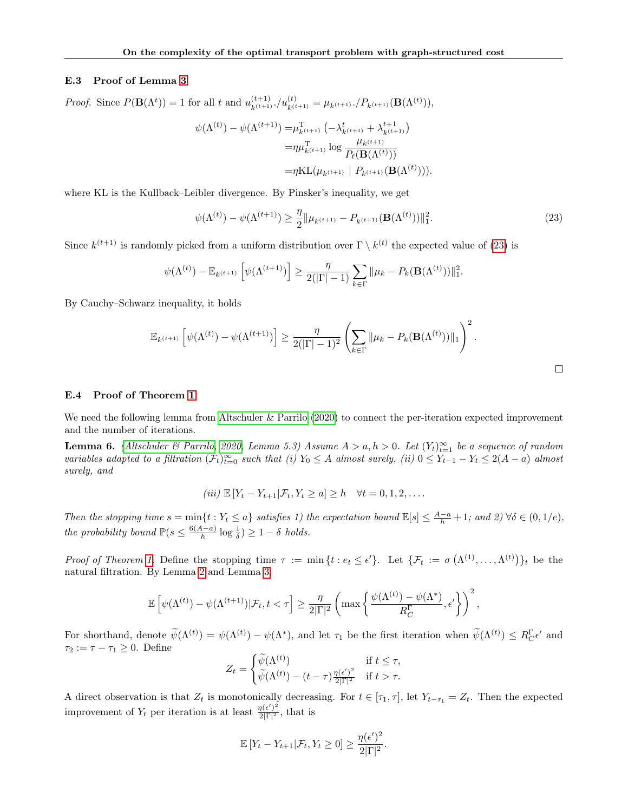#### E.3 Proof of Lemma [3](#page-5-3)

*Proof.* Since  $P(\mathbf{B}(\Lambda^t)) = 1$  for all t and  $u_{k^{(t+1)}}^{(t+1)}, / u_{k^{(t+1)}}^{(t)} = \mu_{k^{(t+1)}}, / P_{k^{(t+1)}}(\mathbf{B}(\Lambda^{(t)})),$  $\psi(\Lambda^{(t)}) - \psi(\Lambda^{(t+1)}) = \mu_{k^{(t+1)}}^{\mathrm{T}} \left( -\lambda_{k^{(t+1)}}^t + \lambda_{k^{(t+1)}}^{t+1} \right)$ 

$$
\varphi(x) = -\mu_{k^{(t+1)}} \left( \frac{\lambda_{k^{(t+1)}} + \lambda_{k^{(t+1)}}}{\lambda_{k^{(t+1)}}} \right)
$$

$$
= \eta \mu_{k^{(t+1)}}^{\mathrm{T}} \log \frac{\mu_{k^{(t+1)}}}{P_{\ell}(\mathbf{B}(\Lambda^{(t)}))}
$$

$$
= \eta \mathrm{KL}(\mu_{k^{(t+1)}} \mid P_{k^{(t+1)}}(\mathbf{B}(\Lambda^{(t)}))).
$$

where KL is the Kullback–Leibler divergence. By Pinsker's inequality, we get

$$
\psi(\Lambda^{(t)}) - \psi(\Lambda^{(t+1)}) \ge \frac{\eta}{2} \|\mu_{k^{(t+1)}} - P_{k^{(t+1)}}(\mathbf{B}(\Lambda^{(t)}))\|_1^2. \tag{23}
$$

Since  $k^{(t+1)}$  is randomly picked from a uniform distribution over  $\Gamma \setminus k^{(t)}$  the expected value of [\(23\)](#page-15-0) is

$$
\psi(\Lambda^{(t)}) - \mathbb{E}_{k^{(t+1)}} \left[ \psi(\Lambda^{(t+1)}) \right] \ge \frac{\eta}{2(|\Gamma|-1)} \sum_{k \in \Gamma} ||\mu_k - P_k(\mathbf{B}(\Lambda^{(t)}))||_1^2.
$$

By Cauchy–Schwarz inequality, it holds

$$
\mathbb{E}_{k^{(t+1)}}\left[\psi(\Lambda^{(t)}) - \psi(\Lambda^{(t+1)})\right] \geq \frac{\eta}{2(|\Gamma|-1)^2} \left(\sum_{k\in\Gamma} \|\mu_k - P_k(\mathbf{B}(\Lambda^{(t)}))\|_1\right)^2.
$$

## E.4 Proof of Theorem [1](#page-5-4)

We need the following lemma from [Altschuler & Parrilo](#page-9-25) [\(2020\)](#page-9-25) to connect the per-iteration expected improvement and the number of iterations.

<span id="page-15-1"></span>**Lemma 6.** [\(Altschuler & Parrilo, 2020,](#page-9-25) Lemma 5.3) Assume  $A > a, h > 0$ . Let  $(Y_t)_{t=1}^{\infty}$  be a sequence of random variables adapted to a filtration  $(\mathcal{F}_t)_{t=0}^{\infty}$  such that (i)  $Y_0 \leq A$  almost surely, (ii)  $0 \leq Y_{t-1} - Y_t \leq 2(A - a)$  almost surely, and

$$
(iii) \mathbb{E}[Y_t - Y_{t+1} | \mathcal{F}_t, Y_t \ge a] \ge h \quad \forall t = 0, 1, 2, \dots
$$

Then the stopping time  $s = \min\{t : Y_t \leq a\}$  satisfies 1) the expectation bound  $\mathbb{E}[s] \leq \frac{A-a}{h} + 1$ ; and 2)  $\forall \delta \in (0, 1/e)$ , the probability bound  $\mathbb{P}(s \leq \frac{6(A-a)}{h})$  $\frac{A-a}{h} \log \frac{1}{\delta}$  > 1 –  $\delta$  holds.

Proof of Theorem [1.](#page-5-4) Define the stopping time  $\tau := \min\{t : e_t \leq \epsilon'\}$ . Let  $\{\mathcal{F}_t := \sigma(\Lambda^{(1)}, \ldots, \Lambda^{(t)})\}_t$  be the natural filtration. By Lemma [2](#page-5-2) and Lemma [3,](#page-5-3)

$$
\mathbb{E}\left[\psi(\Lambda^{(t)}) - \psi(\Lambda^{(t+1)})|\mathcal{F}_t, t < \tau\right] \ge \frac{\eta}{2|\Gamma|^2} \left(\max\left\{\frac{\psi(\Lambda^{(t)}) - \psi(\Lambda^*)}{R_C^{\Gamma}}, \epsilon'\right\}\right)^2,
$$

For shorthand, denote  $\widetilde{\psi}(\Lambda^{(t)}) = \psi(\Lambda^{(t)}) - \psi(\Lambda^*)$ , and let  $\tau_1$  be the first iteration when  $\widetilde{\psi}(\Lambda^{(t)}) \le R_C^{\Gamma} \epsilon'$  and  $\tau_2 := \tau - \tau_1 \geq 0$ . Define

$$
Z_t = \begin{cases} \widetilde{\psi}(\Lambda^{(t)}) & \text{if } t \le \tau, \\ \widetilde{\psi}(\Lambda^{(t)}) - (t - \tau) \frac{\eta(\epsilon')^2}{2|\Gamma|^2} & \text{if } t > \tau. \end{cases}
$$

A direct observation is that  $Z_t$  is monotonically decreasing. For  $t \in [\tau_1, \tau]$ , let  $Y_{t-\tau_1} = Z_t$ . Then the expected improvement of  $Y_t$  per iteration is at least  $\frac{\eta(\epsilon')^2}{2|\Gamma|^2}$  $\frac{\eta(\epsilon)}{2|\Gamma|^2}$ , that is

$$
\mathbb{E}\left[Y_t - Y_{t+1} | \mathcal{F}_t, Y_t \geq 0\right] \geq \frac{\eta(\epsilon')^2}{2|\Gamma|^2}.
$$

<span id="page-15-0"></span>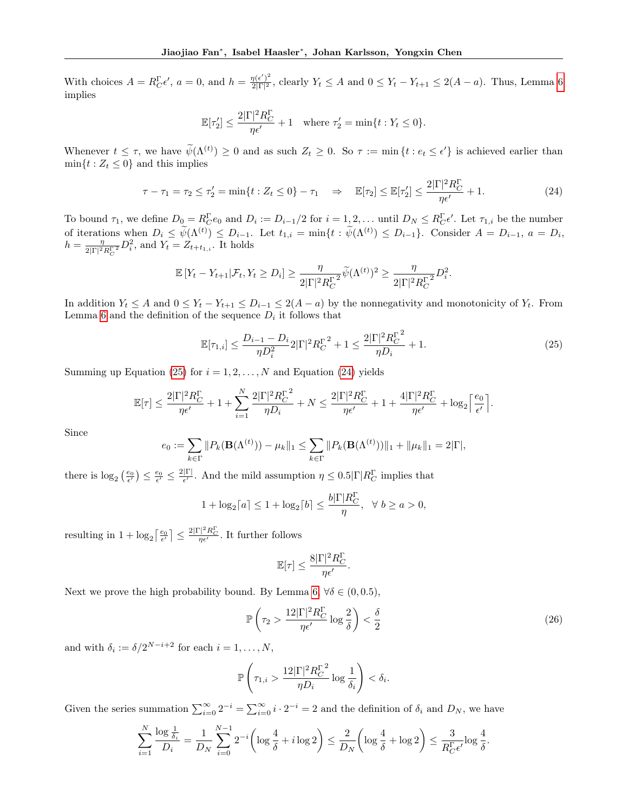With choices  $A = R_C^{\Gamma} \epsilon'$ ,  $a = 0$ , and  $h = \frac{\eta(\epsilon')^2}{2|\Gamma|^2}$  $\frac{\eta(\epsilon)}{2|\Gamma|^2}$ , clearly  $Y_t \leq A$  and  $0 \leq Y_t - Y_{t+1} \leq 2(A-a)$ . Thus, Lemma [6](#page-15-1) implies

$$
\mathbb{E}[\tau_2'] \le \frac{2|\Gamma|^2 R_C^{\Gamma}}{\eta \epsilon'} + 1 \quad \text{where } \tau_2' = \min\{t : Y_t \le 0\}.
$$

Whenever  $t \leq \tau$ , we have  $\widetilde{\psi}(\Lambda^{(t)}) \geq 0$  and as such  $Z_t \geq 0$ . So  $\tau := \min \{t : e_t \leq \epsilon' \}$  is achieved earlier than  $\min\{t : Z_t \leq 0\}$  and this implies

$$
\tau - \tau_1 = \tau_2 \le \tau_2' = \min\{t : Z_t \le 0\} - \tau_1 \quad \Rightarrow \quad \mathbb{E}[\tau_2] \le \mathbb{E}[\tau_2'] \le \frac{2|\Gamma|^2 R_C^{\Gamma}}{\eta \epsilon'} + 1. \tag{24}
$$

<span id="page-16-1"></span><span id="page-16-0"></span> $2R - R$ 

To bound  $\tau_1$ , we define  $D_0 = R_C^{\Gamma} e_0$  and  $D_i := D_{i-1}/2$  for  $i = 1, 2, ...$  until  $D_N \leq R_C^{\Gamma} e'$ . Let  $\tau_{1,i}$  be the number of iterations when  $D_i \leq \tilde{\psi}(\Lambda^{(t)}) \leq D_{i-1}$ . Let  $t_{1,i} = \min\{t : \tilde{\psi}(\Lambda^{(t)}) \leq D_{i-1}\}$ . Consider  $A = D_{i-1}$ ,  $a = D_i$ ,  $h=\frac{\eta}{2|\mathbf{E}|^2}$  $\frac{\eta}{2|\Gamma|^2 R_C^{\Gamma}} D_i^2$ , and  $Y_t = Z_{t+t_{1,i}}$ . It holds

$$
\mathbb{E}\left[Y_t - Y_{t+1} | \mathcal{F}_t, Y_t \ge D_i\right] \ge \frac{\eta}{2|\Gamma|^2 R_C^{\Gamma^2}} \widetilde{\psi}(\Lambda^{(t)})^2 \ge \frac{\eta}{2|\Gamma|^2 R_C^{\Gamma^2}} D_i^2.
$$

In addition  $Y_t \leq A$  and  $0 \leq Y_t - Y_{t+1} \leq D_{i-1} \leq 2(A - a)$  by the nonnegativity and monotonicity of  $Y_t$ . From Lemma [6](#page-15-1) and the definition of the sequence  $D_i$  it follows that

$$
\mathbb{E}[\tau_{1,i}] \le \frac{D_{i-1} - D_i}{\eta D_i^2} 2|\Gamma|^2 R_C^{\Gamma^2} + 1 \le \frac{2|\Gamma|^2 R_C^{\Gamma^2}}{\eta D_i} + 1. \tag{25}
$$

Summing up Equation [\(25\)](#page-16-0) for  $i = 1, 2, ..., N$  and Equation [\(24\)](#page-16-1) yields

$$
\mathbb{E}[\tau] \leq \frac{2|\Gamma|^2 R_C^{\Gamma}}{\eta \epsilon'} + 1 + \sum_{i=1}^N \frac{2|\Gamma|^2 R_C^{\Gamma^2}}{\eta D_i} + N \leq \frac{2|\Gamma|^2 R_C^{\Gamma}}{\eta \epsilon'} + 1 + \frac{4|\Gamma|^2 R_C^{\Gamma}}{\eta \epsilon'} + \log_2 \left\lceil \frac{e_0}{\epsilon'} \right\rceil.
$$

Since

$$
e_0 := \sum_{k \in \Gamma} \| P_k(\mathbf{B}(\Lambda^{(t)})) - \mu_k \|_1 \leq \sum_{k \in \Gamma} \| P_k(\mathbf{B}(\Lambda^{(t)})) \|_1 + \| \mu_k \|_1 = 2|\Gamma|,
$$

there is  $\log_2\left(\frac{e_0}{\epsilon'}\right) \leq \frac{e_0}{\epsilon'} \leq \frac{2|\Gamma|}{\epsilon'}$  $\frac{|\Gamma|}{\epsilon'}$ . And the mild assumption  $\eta \leq 0.5|\Gamma|R_C^{\Gamma}$  implies that

$$
1 + \log_2[a] \le 1 + \log_2[b] \le \frac{b|\Gamma|R_C^{\Gamma}}{\eta}, \quad \forall \ b \ge a > 0,
$$

resulting in  $1 + \log_2 \left[ \frac{e_0}{\epsilon'} \right] \leq \frac{2|\Gamma|^2 R_C^{\Gamma}}{\eta \epsilon'}$ . It further follows

$$
\mathbb{E}[\tau] \leq \frac{8 |\Gamma|^2 R_C^{\Gamma}}{\eta \epsilon'}
$$

<span id="page-16-2"></span>.

Next we prove the high probability bound. By Lemma [6,](#page-15-1)  $\forall \delta \in (0, 0.5)$ ,

$$
\mathbb{P}\left(\tau_2 > \frac{12|\Gamma|^2 R_C^{\Gamma}}{\eta \epsilon'} \log \frac{2}{\delta}\right) < \frac{\delta}{2} \tag{26}
$$

and with  $\delta_i := \delta/2^{N-i+2}$  for each  $i = 1, ..., N$ ,

$$
\mathbb{P}\left(\tau_{1,i} > \frac{12|\Gamma|^2 R_C^{\Gamma^2}}{\eta D_i} \log \frac{1}{\delta_i}\right) < \delta_i.
$$

Given the series summation  $\sum_{i=0}^{\infty} 2^{-i} = \sum_{i=0}^{\infty} i \cdot 2^{-i} = 2$  and the definition of  $\delta_i$  and  $D_N$ , we have

$$
\sum_{i=1}^{N} \frac{\log \frac{1}{\delta_i}}{D_i} = \frac{1}{D_N} \sum_{i=0}^{N-1} 2^{-i} \left( \log \frac{4}{\delta} + i \log 2 \right) \le \frac{2}{D_N} \left( \log \frac{4}{\delta} + \log 2 \right) \le \frac{3}{R_C^{\Gamma} \epsilon'} \log \frac{4}{\delta}.
$$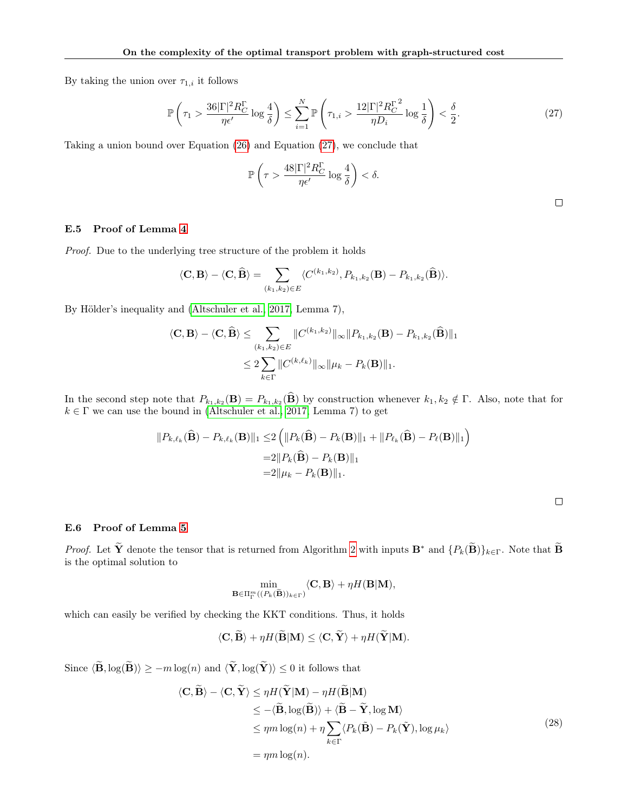By taking the union over  $\tau_{1,i}$  it follows

$$
\mathbb{P}\left(\tau_1 > \frac{36|\Gamma|^2 R_C^{\Gamma}}{\eta \epsilon'} \log \frac{4}{\delta}\right) \le \sum_{i=1}^N \mathbb{P}\left(\tau_{1,i} > \frac{12|\Gamma|^2 R_C^{\Gamma^2}}{\eta D_i} \log \frac{1}{\delta}\right) < \frac{\delta}{2}.\tag{27}
$$

Taking a union bound over Equation [\(26\)](#page-16-2) and Equation [\(27\)](#page-17-0), we conclude that

<span id="page-17-0"></span>
$$
\mathbb{P}\left(\tau > \frac{48|\Gamma|^2 R_C^{\Gamma}}{\eta \epsilon'} \log \frac{4}{\delta}\right) < \delta.
$$

### E.5 Proof of Lemma [4](#page-6-1)

Proof. Due to the underlying tree structure of the problem it holds

$$
\langle \mathbf{C}, \mathbf{B} \rangle - \langle \mathbf{C}, \widehat{\mathbf{B}} \rangle = \sum_{(k_1, k_2) \in E} \langle C^{(k_1, k_2)}, P_{k_1, k_2}(\mathbf{B}) - P_{k_1, k_2}(\widehat{\mathbf{B}}) \rangle.
$$

By Hölder's inequality and [\(Altschuler et al., 2017,](#page-9-22) Lemma 7),

$$
\langle \mathbf{C}, \mathbf{B} \rangle - \langle \mathbf{C}, \widehat{\mathbf{B}} \rangle \le \sum_{(k_1, k_2) \in E} \| C^{(k_1, k_2)} \|_{\infty} \| P_{k_1, k_2}(\mathbf{B}) - P_{k_1, k_2}(\widehat{\mathbf{B}}) \|_1
$$
  

$$
\le 2 \sum_{k \in \Gamma} \| C^{(k, \ell_k)} \|_{\infty} \| \mu_k - P_k(\mathbf{B}) \|_1.
$$

In the second step note that  $P_{k_1,k_2}(\mathbf{B}) = P_{k_1,k_2}(\mathbf{B})$  by construction whenever  $k_1, k_2 \notin \Gamma$ . Also, note that for  $k \in \Gamma$  we can use the bound in [\(Altschuler et al., 2017,](#page-9-22) Lemma 7) to get

$$
||P_{k,\ell_k}(\widehat{\mathbf{B}}) - P_{k,\ell_k}(\mathbf{B})||_1 \leq 2 \left( ||P_k(\widehat{\mathbf{B}}) - P_k(\mathbf{B})||_1 + ||P_{\ell_k}(\widehat{\mathbf{B}}) - P_\ell(\mathbf{B})||_1 \right)
$$
  
=2||P\_k(\widehat{\mathbf{B}}) - P\_k(\mathbf{B})||\_1  
=2||\mu\_k - P\_k(\mathbf{B})||\_1.

<span id="page-17-1"></span>

#### E.6 Proof of Lemma [5](#page-6-2)

*Proof.* Let  $\widetilde{\mathbf{Y}}$  denote the tensor that is returned from Algorithm [2](#page-4-1) with inputs  $\mathbf{B}^*$  and  $\{P_k(\widetilde{\mathbf{B}})\}_{k\in\Gamma}$ . Note that  $\widetilde{\mathbf{B}}$ is the optimal solution to

$$
\min_{\mathbf{B}\in\Pi_{\Gamma}^m((P_k(\widetilde{\mathbf{B}}))_{k\in\Gamma})}\langle\mathbf{C},\mathbf{B}\rangle+\eta H(\mathbf{B}|\mathbf{M}),
$$

which can easily be verified by checking the KKT conditions. Thus, it holds

$$
\langle \mathbf{C}, \mathbf{B} \rangle + \eta H(\mathbf{B}|\mathbf{M}) \le \langle \mathbf{C}, \mathbf{Y} \rangle + \eta H(\mathbf{Y}|\mathbf{M}).
$$

Since  $\langle \widetilde{\mathbf{B}}, \log(\widetilde{\mathbf{B}})\rangle \ge -m \log(n)$  and  $\langle \widetilde{\mathbf{Y}}, \log(\widetilde{\mathbf{Y}})\rangle \le 0$  it follows that

$$
\langle \mathbf{C}, \mathbf{B} \rangle - \langle \mathbf{C}, \mathbf{Y} \rangle \le \eta H(\mathbf{Y}|\mathbf{M}) - \eta H(\mathbf{B}|\mathbf{M})
$$
  
\n
$$
\le -\langle \widetilde{\mathbf{B}}, \log(\widetilde{\mathbf{B}}) \rangle + \langle \widetilde{\mathbf{B}} - \widetilde{\mathbf{Y}}, \log \mathbf{M} \rangle
$$
  
\n
$$
\le \eta m \log(n) + \eta \sum_{k \in \Gamma} \langle P_k(\widetilde{\mathbf{B}}) - P_k(\widetilde{\mathbf{Y}}), \log \mu_k \rangle
$$
  
\n
$$
= \eta m \log(n).
$$
 (28)